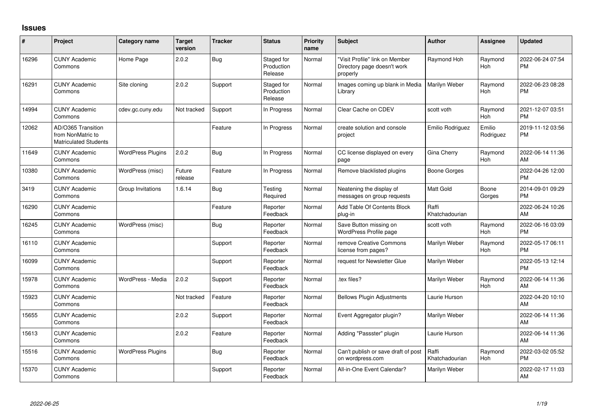## **Issues**

| ∦     | Project                                                                 | <b>Category name</b>     | <b>Target</b><br>version | <b>Tracker</b> | <b>Status</b>                       | <b>Priority</b><br>name | Subject                                                                   | <b>Author</b>           | <b>Assignee</b>     | <b>Updated</b>                |
|-------|-------------------------------------------------------------------------|--------------------------|--------------------------|----------------|-------------------------------------|-------------------------|---------------------------------------------------------------------------|-------------------------|---------------------|-------------------------------|
| 16296 | <b>CUNY Academic</b><br>Commons                                         | Home Page                | 2.0.2                    | Bug            | Staged for<br>Production<br>Release | Normal                  | 'Visit Profile" link on Member<br>Directory page doesn't work<br>properly | Raymond Hoh             | Raymond<br>Hoh      | 2022-06-24 07:54<br><b>PM</b> |
| 16291 | <b>CUNY Academic</b><br>Commons                                         | Site cloning             | 2.0.2                    | Support        | Staged for<br>Production<br>Release | Normal                  | Images coming up blank in Media<br>Library                                | Marilyn Weber           | Raymond<br>Hoh      | 2022-06-23 08:28<br><b>PM</b> |
| 14994 | <b>CUNY Academic</b><br>Commons                                         | cdev.gc.cuny.edu         | Not tracked              | Support        | In Progress                         | Normal                  | Clear Cache on CDEV                                                       | scott voth              | Raymond<br>Hoh      | 2021-12-07 03:51<br><b>PM</b> |
| 12062 | AD/O365 Transition<br>from NonMatric to<br><b>Matriculated Students</b> |                          |                          | Feature        | In Progress                         | Normal                  | create solution and console<br>project                                    | Emilio Rodriguez        | Emilio<br>Rodriguez | 2019-11-12 03:56<br><b>PM</b> |
| 11649 | <b>CUNY Academic</b><br>Commons                                         | <b>WordPress Plugins</b> | 2.0.2                    | Bug            | In Progress                         | Normal                  | CC license displayed on every<br>page                                     | Gina Cherry             | Raymond<br>Hoh      | 2022-06-14 11:36<br>AM        |
| 10380 | <b>CUNY Academic</b><br>Commons                                         | WordPress (misc)         | Future<br>release        | Feature        | In Progress                         | Normal                  | Remove blacklisted plugins                                                | Boone Gorges            |                     | 2022-04-26 12:00<br><b>PM</b> |
| 3419  | <b>CUNY Academic</b><br>Commons                                         | Group Invitations        | 1.6.14                   | Bug            | Testing<br>Required                 | Normal                  | Neatening the display of<br>messages on group requests                    | <b>Matt Gold</b>        | Boone<br>Gorges     | 2014-09-01 09:29<br><b>PM</b> |
| 16290 | <b>CUNY Academic</b><br>Commons                                         |                          |                          | Feature        | Reporter<br>Feedback                | Normal                  | Add Table Of Contents Block<br>plug-in                                    | Raffi<br>Khatchadourian |                     | 2022-06-24 10:26<br>AM        |
| 16245 | <b>CUNY Academic</b><br>Commons                                         | WordPress (misc)         |                          | <b>Bug</b>     | Reporter<br>Feedback                | Normal                  | Save Button missing on<br>WordPress Profile page                          | scott voth              | Raymond<br>Hoh      | 2022-06-16 03:09<br><b>PM</b> |
| 16110 | <b>CUNY Academic</b><br>Commons                                         |                          |                          | Support        | Reporter<br>Feedback                | Normal                  | remove Creative Commons<br>license from pages?                            | Marilyn Weber           | Raymond<br>Hoh      | 2022-05-17 06:11<br><b>PM</b> |
| 16099 | <b>CUNY Academic</b><br>Commons                                         |                          |                          | Support        | Reporter<br>Feedback                | Normal                  | request for Newsletter Glue                                               | Marilyn Weber           |                     | 2022-05-13 12:14<br><b>PM</b> |
| 15978 | <b>CUNY Academic</b><br>Commons                                         | WordPress - Media        | 2.0.2                    | Support        | Reporter<br>Feedback                | Normal                  | tex files?                                                                | Marilyn Weber           | Raymond<br>Hoh      | 2022-06-14 11:36<br>AM        |
| 15923 | <b>CUNY Academic</b><br>Commons                                         |                          | Not tracked              | Feature        | Reporter<br>Feedback                | Normal                  | <b>Bellows Plugin Adjustments</b>                                         | Laurie Hurson           |                     | 2022-04-20 10:10<br>AM        |
| 15655 | <b>CUNY Academic</b><br>Commons                                         |                          | 2.0.2                    | Support        | Reporter<br>Feedback                | Normal                  | Event Aggregator plugin?                                                  | Marilyn Weber           |                     | 2022-06-14 11:36<br>AM        |
| 15613 | <b>CUNY Academic</b><br>Commons                                         |                          | 2.0.2                    | Feature        | Reporter<br>Feedback                | Normal                  | Adding "Passster" plugin                                                  | Laurie Hurson           |                     | 2022-06-14 11:36<br>AM        |
| 15516 | <b>CUNY Academic</b><br>Commons                                         | <b>WordPress Plugins</b> |                          | Bug            | Reporter<br>Feedback                | Normal                  | Can't publish or save draft of post<br>on wordpress.com                   | Raffi<br>Khatchadourian | Raymond<br>Hoh      | 2022-03-02 05:52<br><b>PM</b> |
| 15370 | <b>CUNY Academic</b><br>Commons                                         |                          |                          | Support        | Reporter<br>Feedback                | Normal                  | All-in-One Event Calendar?                                                | Marilyn Weber           |                     | 2022-02-17 11:03<br>AM        |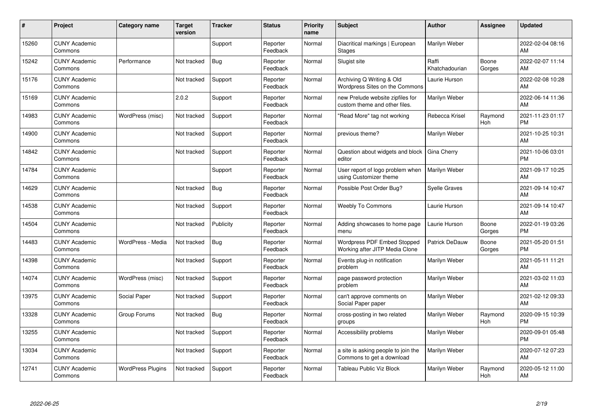| #     | Project                         | <b>Category name</b>     | <b>Target</b><br>version | <b>Tracker</b> | <b>Status</b>        | <b>Priority</b><br>name | <b>Subject</b>                                                    | <b>Author</b>           | <b>Assignee</b>       | <b>Updated</b>                |
|-------|---------------------------------|--------------------------|--------------------------|----------------|----------------------|-------------------------|-------------------------------------------------------------------|-------------------------|-----------------------|-------------------------------|
| 15260 | <b>CUNY Academic</b><br>Commons |                          |                          | Support        | Reporter<br>Feedback | Normal                  | Diacritical markings   European<br><b>Stages</b>                  | Marilyn Weber           |                       | 2022-02-04 08:16<br>AM        |
| 15242 | <b>CUNY Academic</b><br>Commons | Performance              | Not tracked              | <b>Bug</b>     | Reporter<br>Feedback | Normal                  | Slugist site                                                      | Raffi<br>Khatchadourian | Boone<br>Gorges       | 2022-02-07 11:14<br>AM        |
| 15176 | <b>CUNY Academic</b><br>Commons |                          | Not tracked              | Support        | Reporter<br>Feedback | Normal                  | Archiving Q Writing & Old<br>Wordpress Sites on the Commons       | Laurie Hurson           |                       | 2022-02-08 10:28<br>AM        |
| 15169 | <b>CUNY Academic</b><br>Commons |                          | 2.0.2                    | Support        | Reporter<br>Feedback | Normal                  | new Prelude website zipfiles for<br>custom theme and other files. | Marilyn Weber           |                       | 2022-06-14 11:36<br>AM        |
| 14983 | <b>CUNY Academic</b><br>Commons | WordPress (misc)         | Not tracked              | Support        | Reporter<br>Feedback | Normal                  | "Read More" tag not working                                       | Rebecca Krisel          | Raymond<br><b>Hoh</b> | 2021-11-23 01:17<br><b>PM</b> |
| 14900 | <b>CUNY Academic</b><br>Commons |                          | Not tracked              | Support        | Reporter<br>Feedback | Normal                  | previous theme?                                                   | Marilyn Weber           |                       | 2021-10-25 10:31<br>AM        |
| 14842 | <b>CUNY Academic</b><br>Commons |                          | Not tracked              | Support        | Reporter<br>Feedback | Normal                  | Question about widgets and block<br>editor                        | Gina Cherry             |                       | 2021-10-06 03:01<br><b>PM</b> |
| 14784 | <b>CUNY Academic</b><br>Commons |                          |                          | Support        | Reporter<br>Feedback | Normal                  | User report of logo problem when<br>using Customizer theme        | Marilyn Weber           |                       | 2021-09-17 10:25<br>AM        |
| 14629 | <b>CUNY Academic</b><br>Commons |                          | Not tracked              | Bug            | Reporter<br>Feedback | Normal                  | Possible Post Order Bug?                                          | <b>Syelle Graves</b>    |                       | 2021-09-14 10:47<br>AM        |
| 14538 | <b>CUNY Academic</b><br>Commons |                          | Not tracked              | Support        | Reporter<br>Feedback | Normal                  | <b>Weebly To Commons</b>                                          | Laurie Hurson           |                       | 2021-09-14 10:47<br>AM        |
| 14504 | <b>CUNY Academic</b><br>Commons |                          | Not tracked              | Publicity      | Reporter<br>Feedback | Normal                  | Adding showcases to home page<br>menu                             | Laurie Hurson           | Boone<br>Gorges       | 2022-01-19 03:26<br><b>PM</b> |
| 14483 | <b>CUNY Academic</b><br>Commons | WordPress - Media        | Not tracked              | <b>Bug</b>     | Reporter<br>Feedback | Normal                  | Wordpress PDF Embed Stopped<br>Working after JITP Media Clone     | <b>Patrick DeDauw</b>   | Boone<br>Gorges       | 2021-05-20 01:51<br><b>PM</b> |
| 14398 | <b>CUNY Academic</b><br>Commons |                          | Not tracked              | Support        | Reporter<br>Feedback | Normal                  | Events plug-in notification<br>problem                            | Marilyn Weber           |                       | 2021-05-11 11:21<br>AM        |
| 14074 | <b>CUNY Academic</b><br>Commons | WordPress (misc)         | Not tracked              | Support        | Reporter<br>Feedback | Normal                  | page password protection<br>problem                               | Marilyn Weber           |                       | 2021-03-02 11:03<br>AM        |
| 13975 | <b>CUNY Academic</b><br>Commons | Social Paper             | Not tracked              | Support        | Reporter<br>Feedback | Normal                  | can't approve comments on<br>Social Paper paper                   | Marilyn Weber           |                       | 2021-02-12 09:33<br>AM        |
| 13328 | <b>CUNY Academic</b><br>Commons | Group Forums             | Not tracked              | <b>Bug</b>     | Reporter<br>Feedback | Normal                  | cross-posting in two related<br>groups                            | Marilyn Weber           | Raymond<br><b>Hoh</b> | 2020-09-15 10:39<br><b>PM</b> |
| 13255 | <b>CUNY Academic</b><br>Commons |                          | Not tracked              | Support        | Reporter<br>Feedback | Normal                  | Accessibility problems                                            | Marilyn Weber           |                       | 2020-09-01 05:48<br><b>PM</b> |
| 13034 | <b>CUNY Academic</b><br>Commons |                          | Not tracked              | Support        | Reporter<br>Feedback | Normal                  | a site is asking people to join the<br>Commons to get a download  | Marilyn Weber           |                       | 2020-07-12 07:23<br>AM        |
| 12741 | <b>CUNY Academic</b><br>Commons | <b>WordPress Plugins</b> | Not tracked              | Support        | Reporter<br>Feedback | Normal                  | Tableau Public Viz Block                                          | Marilyn Weber           | Raymond<br>Hoh        | 2020-05-12 11:00<br>AM        |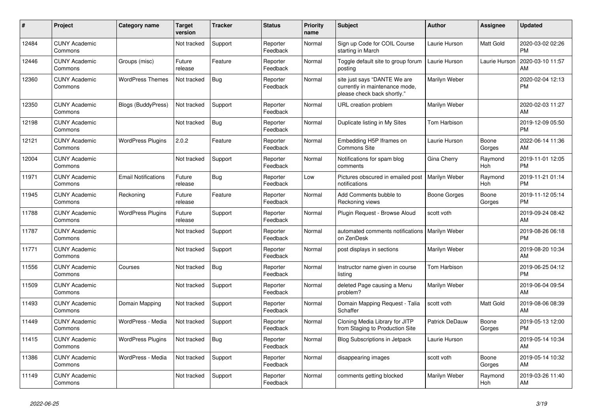| #     | Project                         | <b>Category name</b>       | Target<br>version | <b>Tracker</b> | <b>Status</b>        | <b>Priority</b><br>name | <b>Subject</b>                                                                                | <b>Author</b>         | <b>Assignee</b> | <b>Updated</b>                |
|-------|---------------------------------|----------------------------|-------------------|----------------|----------------------|-------------------------|-----------------------------------------------------------------------------------------------|-----------------------|-----------------|-------------------------------|
| 12484 | <b>CUNY Academic</b><br>Commons |                            | Not tracked       | Support        | Reporter<br>Feedback | Normal                  | Sign up Code for COIL Course<br>starting in March                                             | Laurie Hurson         | Matt Gold       | 2020-03-02 02:26<br><b>PM</b> |
| 12446 | <b>CUNY Academic</b><br>Commons | Groups (misc)              | Future<br>release | Feature        | Reporter<br>Feedback | Normal                  | Toggle default site to group forum<br>posting                                                 | Laurie Hurson         | Laurie Hurson   | 2020-03-10 11:57<br>AM        |
| 12360 | <b>CUNY Academic</b><br>Commons | <b>WordPress Themes</b>    | Not tracked       | <b>Bug</b>     | Reporter<br>Feedback | Normal                  | site just says "DANTE We are<br>currently in maintenance mode,<br>please check back shortly." | Marilyn Weber         |                 | 2020-02-04 12:13<br><b>PM</b> |
| 12350 | <b>CUNY Academic</b><br>Commons | <b>Blogs (BuddyPress)</b>  | Not tracked       | Support        | Reporter<br>Feedback | Normal                  | URL creation problem                                                                          | Marilyn Weber         |                 | 2020-02-03 11:27<br>AM        |
| 12198 | <b>CUNY Academic</b><br>Commons |                            | Not tracked       | <b>Bug</b>     | Reporter<br>Feedback | Normal                  | Duplicate listing in My Sites                                                                 | Tom Harbison          |                 | 2019-12-09 05:50<br><b>PM</b> |
| 12121 | <b>CUNY Academic</b><br>Commons | <b>WordPress Plugins</b>   | 2.0.2             | Feature        | Reporter<br>Feedback | Normal                  | Embedding H5P Iframes on<br>Commons Site                                                      | Laurie Hurson         | Boone<br>Gorges | 2022-06-14 11:36<br>AM        |
| 12004 | <b>CUNY Academic</b><br>Commons |                            | Not tracked       | Support        | Reporter<br>Feedback | Normal                  | Notifications for spam blog<br>comments                                                       | Gina Cherry           | Raymond<br>Hoh  | 2019-11-01 12:05<br><b>PM</b> |
| 11971 | <b>CUNY Academic</b><br>Commons | <b>Email Notifications</b> | Future<br>release | Bug            | Reporter<br>Feedback | Low                     | Pictures obscured in emailed post<br>notifications                                            | Marilyn Weber         | Raymond<br>Hoh  | 2019-11-21 01:14<br><b>PM</b> |
| 11945 | <b>CUNY Academic</b><br>Commons | Reckoning                  | Future<br>release | Feature        | Reporter<br>Feedback | Normal                  | Add Comments bubble to<br>Reckoning views                                                     | <b>Boone Gorges</b>   | Boone<br>Gorges | 2019-11-12 05:14<br><b>PM</b> |
| 11788 | <b>CUNY Academic</b><br>Commons | <b>WordPress Plugins</b>   | Future<br>release | Support        | Reporter<br>Feedback | Normal                  | Plugin Reguest - Browse Aloud                                                                 | scott voth            |                 | 2019-09-24 08:42<br>AM        |
| 11787 | <b>CUNY Academic</b><br>Commons |                            | Not tracked       | Support        | Reporter<br>Feedback | Normal                  | automated comments notifications<br>on ZenDesk                                                | Marilyn Weber         |                 | 2019-08-26 06:18<br><b>PM</b> |
| 11771 | <b>CUNY Academic</b><br>Commons |                            | Not tracked       | Support        | Reporter<br>Feedback | Normal                  | post displays in sections                                                                     | Marilyn Weber         |                 | 2019-08-20 10:34<br>AM        |
| 11556 | <b>CUNY Academic</b><br>Commons | Courses                    | Not tracked       | Bug            | Reporter<br>Feedback | Normal                  | Instructor name given in course<br>listing                                                    | Tom Harbison          |                 | 2019-06-25 04:12<br><b>PM</b> |
| 11509 | <b>CUNY Academic</b><br>Commons |                            | Not tracked       | Support        | Reporter<br>Feedback | Normal                  | deleted Page causing a Menu<br>problem?                                                       | Marilyn Weber         |                 | 2019-06-04 09:54<br>AM        |
| 11493 | <b>CUNY Academic</b><br>Commons | Domain Mapping             | Not tracked       | Support        | Reporter<br>Feedback | Normal                  | Domain Mapping Request - Talia<br>Schaffer                                                    | scott voth            | Matt Gold       | 2019-08-06 08:39<br>AM        |
| 11449 | <b>CUNY Academic</b><br>Commons | WordPress - Media          | Not tracked       | Support        | Reporter<br>Feedback | Normal                  | Cloning Media Library for JITP<br>from Staging to Production Site                             | <b>Patrick DeDauw</b> | Boone<br>Gorges | 2019-05-13 12:00<br><b>PM</b> |
| 11415 | <b>CUNY Academic</b><br>Commons | <b>WordPress Plugins</b>   | Not tracked       | <b>Bug</b>     | Reporter<br>Feedback | Normal                  | <b>Blog Subscriptions in Jetpack</b>                                                          | Laurie Hurson         |                 | 2019-05-14 10:34<br>AM        |
| 11386 | <b>CUNY Academic</b><br>Commons | WordPress - Media          | Not tracked       | Support        | Reporter<br>Feedback | Normal                  | disappearing images                                                                           | scott voth            | Boone<br>Gorges | 2019-05-14 10:32<br>AM        |
| 11149 | <b>CUNY Academic</b><br>Commons |                            | Not tracked       | Support        | Reporter<br>Feedback | Normal                  | comments getting blocked                                                                      | Marilyn Weber         | Raymond<br>Hoh  | 2019-03-26 11:40<br>AM        |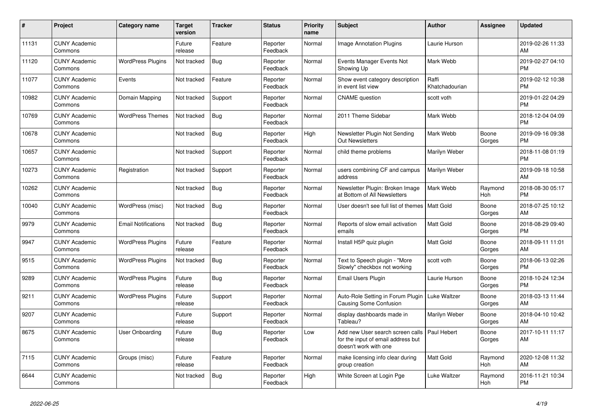| #     | Project                         | <b>Category name</b>       | Target<br>version | <b>Tracker</b> | <b>Status</b>        | <b>Priority</b><br>name | <b>Subject</b>                                                                                  | <b>Author</b>           | <b>Assignee</b> | <b>Updated</b>                |
|-------|---------------------------------|----------------------------|-------------------|----------------|----------------------|-------------------------|-------------------------------------------------------------------------------------------------|-------------------------|-----------------|-------------------------------|
| 11131 | <b>CUNY Academic</b><br>Commons |                            | Future<br>release | Feature        | Reporter<br>Feedback | Normal                  | <b>Image Annotation Plugins</b>                                                                 | Laurie Hurson           |                 | 2019-02-26 11:33<br>AM        |
| 11120 | <b>CUNY Academic</b><br>Commons | <b>WordPress Plugins</b>   | Not tracked       | Bug            | Reporter<br>Feedback | Normal                  | Events Manager Events Not<br>Showing Up                                                         | Mark Webb               |                 | 2019-02-27 04:10<br><b>PM</b> |
| 11077 | <b>CUNY Academic</b><br>Commons | Events                     | Not tracked       | Feature        | Reporter<br>Feedback | Normal                  | Show event category description<br>in event list view                                           | Raffi<br>Khatchadourian |                 | 2019-02-12 10:38<br><b>PM</b> |
| 10982 | <b>CUNY Academic</b><br>Commons | Domain Mapping             | Not tracked       | Support        | Reporter<br>Feedback | Normal                  | <b>CNAME</b> question                                                                           | scott voth              |                 | 2019-01-22 04:29<br><b>PM</b> |
| 10769 | <b>CUNY Academic</b><br>Commons | <b>WordPress Themes</b>    | Not tracked       | Bug            | Reporter<br>Feedback | Normal                  | 2011 Theme Sidebar                                                                              | Mark Webb               |                 | 2018-12-04 04:09<br><b>PM</b> |
| 10678 | <b>CUNY Academic</b><br>Commons |                            | Not tracked       | Bug            | Reporter<br>Feedback | High                    | Newsletter Plugin Not Sending<br><b>Out Newsletters</b>                                         | Mark Webb               | Boone<br>Gorges | 2019-09-16 09:38<br><b>PM</b> |
| 10657 | <b>CUNY Academic</b><br>Commons |                            | Not tracked       | Support        | Reporter<br>Feedback | Normal                  | child theme problems                                                                            | Marilyn Weber           |                 | 2018-11-08 01:19<br><b>PM</b> |
| 10273 | <b>CUNY Academic</b><br>Commons | Registration               | Not tracked       | Support        | Reporter<br>Feedback | Normal                  | users combining CF and campus<br>address                                                        | Marilyn Weber           |                 | 2019-09-18 10:58<br>AM        |
| 10262 | <b>CUNY Academic</b><br>Commons |                            | Not tracked       | <b>Bug</b>     | Reporter<br>Feedback | Normal                  | Newsletter Plugin: Broken Image<br>at Bottom of All Newsletters                                 | Mark Webb               | Raymond<br>Hoh  | 2018-08-30 05:17<br><b>PM</b> |
| 10040 | <b>CUNY Academic</b><br>Commons | WordPress (misc)           | Not tracked       | <b>Bug</b>     | Reporter<br>Feedback | Normal                  | User doesn't see full list of themes   Matt Gold                                                |                         | Boone<br>Gorges | 2018-07-25 10:12<br>AM        |
| 9979  | <b>CUNY Academic</b><br>Commons | <b>Email Notifications</b> | Not tracked       | Bug            | Reporter<br>Feedback | Normal                  | Reports of slow email activation<br>emails                                                      | <b>Matt Gold</b>        | Boone<br>Gorges | 2018-08-29 09:40<br><b>PM</b> |
| 9947  | <b>CUNY Academic</b><br>Commons | <b>WordPress Plugins</b>   | Future<br>release | Feature        | Reporter<br>Feedback | Normal                  | Install H5P quiz plugin                                                                         | Matt Gold               | Boone<br>Gorges | 2018-09-11 11:01<br>AM        |
| 9515  | <b>CUNY Academic</b><br>Commons | <b>WordPress Plugins</b>   | Not tracked       | <b>Bug</b>     | Reporter<br>Feedback | Normal                  | Text to Speech plugin - "More<br>Slowly" checkbox not working                                   | scott voth              | Boone<br>Gorges | 2018-06-13 02:26<br><b>PM</b> |
| 9289  | <b>CUNY Academic</b><br>Commons | <b>WordPress Plugins</b>   | Future<br>release | Bug            | Reporter<br>Feedback | Normal                  | <b>Email Users Plugin</b>                                                                       | Laurie Hurson           | Boone<br>Gorges | 2018-10-24 12:34<br><b>PM</b> |
| 9211  | <b>CUNY Academic</b><br>Commons | <b>WordPress Plugins</b>   | Future<br>release | Support        | Reporter<br>Feedback | Normal                  | Auto-Role Setting in Forum Plugin<br><b>Causing Some Confusion</b>                              | Luke Waltzer            | Boone<br>Gorges | 2018-03-13 11:44<br>AM        |
| 9207  | <b>CUNY Academic</b><br>Commons |                            | Future<br>release | Support        | Reporter<br>Feedback | Normal                  | display dashboards made in<br>Tableau?                                                          | Marilyn Weber           | Boone<br>Gorges | 2018-04-10 10:42<br>AM        |
| 8675  | <b>CUNY Academic</b><br>Commons | User Onboarding            | Future<br>release | <b>Bug</b>     | Reporter<br>Feedback | Low                     | Add new User search screen calls<br>for the input of email address but<br>doesn't work with one | Paul Hebert             | Boone<br>Gorges | 2017-10-11 11:17<br>AM        |
| 7115  | <b>CUNY Academic</b><br>Commons | Groups (misc)              | Future<br>release | Feature        | Reporter<br>Feedback | Normal                  | make licensing info clear during<br>group creation                                              | <b>Matt Gold</b>        | Raymond<br>Hoh  | 2020-12-08 11:32<br>AM        |
| 6644  | <b>CUNY Academic</b><br>Commons |                            | Not tracked       | <b>Bug</b>     | Reporter<br>Feedback | High                    | White Screen at Login Pge                                                                       | <b>Luke Waltzer</b>     | Raymond<br>Hoh  | 2016-11-21 10:34<br><b>PM</b> |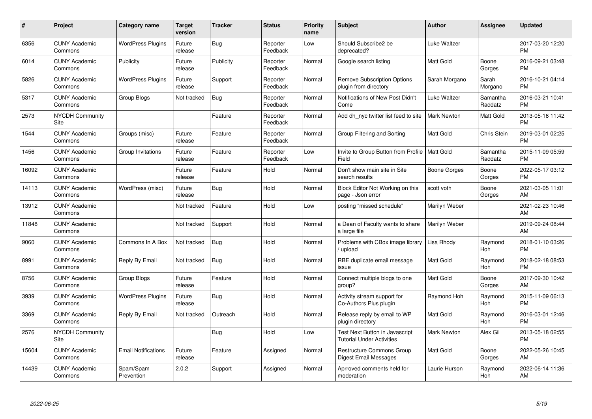| #     | Project                         | <b>Category name</b>       | Target<br>version | <b>Tracker</b> | <b>Status</b>        | <b>Priority</b><br>name | <b>Subject</b>                                                     | <b>Author</b>      | <b>Assignee</b>       | <b>Updated</b>                |
|-------|---------------------------------|----------------------------|-------------------|----------------|----------------------|-------------------------|--------------------------------------------------------------------|--------------------|-----------------------|-------------------------------|
| 6356  | <b>CUNY Academic</b><br>Commons | <b>WordPress Plugins</b>   | Future<br>release | Bug            | Reporter<br>Feedback | Low                     | Should Subscribe2 be<br>deprecated?                                | Luke Waltzer       |                       | 2017-03-20 12:20<br><b>PM</b> |
| 6014  | <b>CUNY Academic</b><br>Commons | Publicity                  | Future<br>release | Publicity      | Reporter<br>Feedback | Normal                  | Google search listing                                              | <b>Matt Gold</b>   | Boone<br>Gorges       | 2016-09-21 03:48<br><b>PM</b> |
| 5826  | <b>CUNY Academic</b><br>Commons | <b>WordPress Plugins</b>   | Future<br>release | Support        | Reporter<br>Feedback | Normal                  | <b>Remove Subscription Options</b><br>plugin from directory        | Sarah Morgano      | Sarah<br>Morgano      | 2016-10-21 04:14<br><b>PM</b> |
| 5317  | <b>CUNY Academic</b><br>Commons | Group Blogs                | Not tracked       | Bug            | Reporter<br>Feedback | Normal                  | Notifications of New Post Didn't<br>Come                           | Luke Waltzer       | Samantha<br>Raddatz   | 2016-03-21 10:41<br><b>PM</b> |
| 2573  | <b>NYCDH Community</b><br>Site  |                            |                   | Feature        | Reporter<br>Feedback | Normal                  | Add dh nyc twitter list feed to site                               | <b>Mark Newton</b> | Matt Gold             | 2013-05-16 11:42<br><b>PM</b> |
| 1544  | <b>CUNY Academic</b><br>Commons | Groups (misc)              | Future<br>release | Feature        | Reporter<br>Feedback | Normal                  | Group Filtering and Sorting                                        | Matt Gold          | Chris Stein           | 2019-03-01 02:25<br><b>PM</b> |
| 1456  | <b>CUNY Academic</b><br>Commons | Group Invitations          | Future<br>release | Feature        | Reporter<br>Feedback | Low                     | Invite to Group Button from Profile   Matt Gold<br>Field           |                    | Samantha<br>Raddatz   | 2015-11-09 05:59<br><b>PM</b> |
| 16092 | <b>CUNY Academic</b><br>Commons |                            | Future<br>release | Feature        | Hold                 | Normal                  | Don't show main site in Site<br>search results                     | Boone Gorges       | Boone<br>Gorges       | 2022-05-17 03:12<br><b>PM</b> |
| 14113 | <b>CUNY Academic</b><br>Commons | WordPress (misc)           | Future<br>release | Bug            | Hold                 | Normal                  | Block Editor Not Working on this<br>page - Json error              | scott voth         | Boone<br>Gorges       | 2021-03-05 11:01<br>AM        |
| 13912 | <b>CUNY Academic</b><br>Commons |                            | Not tracked       | Feature        | Hold                 | Low                     | posting "missed schedule"                                          | Marilyn Weber      |                       | 2021-02-23 10:46<br>AM        |
| 11848 | <b>CUNY Academic</b><br>Commons |                            | Not tracked       | Support        | Hold                 | Normal                  | a Dean of Faculty wants to share<br>a large file                   | Marilyn Weber      |                       | 2019-09-24 08:44<br>AM        |
| 9060  | <b>CUNY Academic</b><br>Commons | Commons In A Box           | Not tracked       | Bug            | Hold                 | Normal                  | Problems with CBox image library<br>upload                         | Lisa Rhody         | Raymond<br><b>Hoh</b> | 2018-01-10 03:26<br><b>PM</b> |
| 8991  | <b>CUNY Academic</b><br>Commons | Reply By Email             | Not tracked       | <b>Bug</b>     | Hold                 | Normal                  | RBE duplicate email message<br>issue                               | Matt Gold          | Raymond<br>Hoh        | 2018-02-18 08:53<br><b>PM</b> |
| 8756  | <b>CUNY Academic</b><br>Commons | <b>Group Blogs</b>         | Future<br>release | Feature        | Hold                 | Normal                  | Connect multiple blogs to one<br>group?                            | Matt Gold          | Boone<br>Gorges       | 2017-09-30 10:42<br>AM        |
| 3939  | <b>CUNY Academic</b><br>Commons | <b>WordPress Plugins</b>   | Future<br>release | Bug            | Hold                 | Normal                  | Activity stream support for<br>Co-Authors Plus plugin              | Raymond Hoh        | Raymond<br><b>Hoh</b> | 2015-11-09 06:13<br><b>PM</b> |
| 3369  | <b>CUNY Academic</b><br>Commons | Reply By Email             | Not tracked       | Outreach       | Hold                 | Normal                  | Release reply by email to WP<br>plugin directory                   | Matt Gold          | Raymond<br>Hoh        | 2016-03-01 12:46<br><b>PM</b> |
| 2576  | <b>NYCDH Community</b><br>Site  |                            |                   | Bug            | Hold                 | Low                     | Test Next Button in Javascript<br><b>Tutorial Under Activities</b> | <b>Mark Newton</b> | Alex Gil              | 2013-05-18 02:55<br><b>PM</b> |
| 15604 | <b>CUNY Academic</b><br>Commons | <b>Email Notifications</b> | Future<br>release | Feature        | Assigned             | Normal                  | <b>Restructure Commons Group</b><br>Digest Email Messages          | <b>Matt Gold</b>   | Boone<br>Gorges       | 2022-05-26 10:45<br>AM        |
| 14439 | <b>CUNY Academic</b><br>Commons | Spam/Spam<br>Prevention    | 2.0.2             | Support        | Assigned             | Normal                  | Aprroved comments held for<br>moderation                           | Laurie Hurson      | Raymond<br>Hoh        | 2022-06-14 11:36<br>AM        |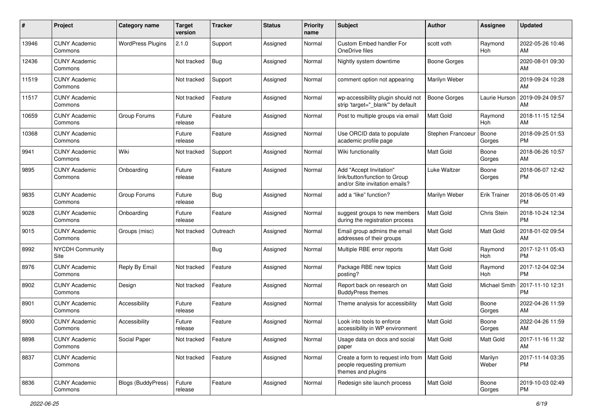| #     | Project                         | <b>Category name</b>     | <b>Target</b><br>version | <b>Tracker</b> | <b>Status</b> | <b>Priority</b><br>name | <b>Subject</b>                                                                                    | <b>Author</b>     | <b>Assignee</b>     | <b>Updated</b>                |
|-------|---------------------------------|--------------------------|--------------------------|----------------|---------------|-------------------------|---------------------------------------------------------------------------------------------------|-------------------|---------------------|-------------------------------|
| 13946 | <b>CUNY Academic</b><br>Commons | <b>WordPress Plugins</b> | 2.1.0                    | Support        | Assigned      | Normal                  | Custom Embed handler For<br>OneDrive files                                                        | scott voth        | Raymond<br>Hoh      | 2022-05-26 10:46<br>AM        |
| 12436 | <b>CUNY Academic</b><br>Commons |                          | Not tracked              | Bug            | Assigned      | Normal                  | Nightly system downtime                                                                           | Boone Gorges      |                     | 2020-08-01 09:30<br>AM        |
| 11519 | <b>CUNY Academic</b><br>Commons |                          | Not tracked              | Support        | Assigned      | Normal                  | comment option not appearing                                                                      | Marilyn Weber     |                     | 2019-09-24 10:28<br>AM        |
| 11517 | <b>CUNY Academic</b><br>Commons |                          | Not tracked              | Feature        | Assigned      | Normal                  | wp-accessibility plugin should not<br>strip 'target="_blank"' by default                          | Boone Gorges      | Laurie Hurson       | 2019-09-24 09:57<br>AM        |
| 10659 | <b>CUNY Academic</b><br>Commons | Group Forums             | Future<br>release        | Feature        | Assigned      | Normal                  | Post to multiple groups via email                                                                 | <b>Matt Gold</b>  | Raymond<br>Hoh      | 2018-11-15 12:54<br>AM        |
| 10368 | <b>CUNY Academic</b><br>Commons |                          | Future<br>release        | Feature        | Assigned      | Normal                  | Use ORCID data to populate<br>academic profile page                                               | Stephen Francoeur | Boone<br>Gorges     | 2018-09-25 01:53<br><b>PM</b> |
| 9941  | <b>CUNY Academic</b><br>Commons | Wiki                     | Not tracked              | Support        | Assigned      | Normal                  | Wiki functionality                                                                                | <b>Matt Gold</b>  | Boone<br>Gorges     | 2018-06-26 10:57<br>AM        |
| 9895  | <b>CUNY Academic</b><br>Commons | Onboarding               | Future<br>release        | Feature        | Assigned      | Normal                  | Add "Accept Invitation"<br>link/button/function to Group<br>and/or Site invitation emails?        | Luke Waltzer      | Boone<br>Gorges     | 2018-06-07 12:42<br><b>PM</b> |
| 9835  | <b>CUNY Academic</b><br>Commons | Group Forums             | Future<br>release        | <b>Bug</b>     | Assigned      | Normal                  | add a "like" function?                                                                            | Marilyn Weber     | <b>Erik Trainer</b> | 2018-06-05 01:49<br><b>PM</b> |
| 9028  | <b>CUNY Academic</b><br>Commons | Onboarding               | Future<br>release        | Feature        | Assigned      | Normal                  | suggest groups to new members<br>during the registration process                                  | <b>Matt Gold</b>  | Chris Stein         | 2018-10-24 12:34<br><b>PM</b> |
| 9015  | <b>CUNY Academic</b><br>Commons | Groups (misc)            | Not tracked              | Outreach       | Assigned      | Normal                  | Email group admins the email<br>addresses of their groups                                         | <b>Matt Gold</b>  | Matt Gold           | 2018-01-02 09:54<br>AM        |
| 8992  | <b>NYCDH Community</b><br>Site  |                          |                          | <b>Bug</b>     | Assigned      | Normal                  | Multiple RBE error reports                                                                        | <b>Matt Gold</b>  | Raymond<br>Hoh      | 2017-12-11 05:43<br><b>PM</b> |
| 8976  | <b>CUNY Academic</b><br>Commons | Reply By Email           | Not tracked              | Feature        | Assigned      | Normal                  | Package RBE new topics<br>posting?                                                                | <b>Matt Gold</b>  | Raymond<br>Hoh      | 2017-12-04 02:34<br><b>PM</b> |
| 8902  | <b>CUNY Academic</b><br>Commons | Design                   | Not tracked              | Feature        | Assigned      | Normal                  | Report back on research on<br><b>BuddyPress themes</b>                                            | <b>Matt Gold</b>  | Michael Smith       | 2017-11-10 12:31<br><b>PM</b> |
| 8901  | <b>CUNY Academic</b><br>Commons | Accessibility            | Future<br>release        | Feature        | Assigned      | Normal                  | Theme analysis for accessibility                                                                  | <b>Matt Gold</b>  | Boone<br>Gorges     | 2022-04-26 11:59<br>AM        |
| 8900  | <b>CUNY Academic</b><br>Commons | Accessibility            | Future<br>release        | Feature        | Assigned      | Normal                  | Look into tools to enforce<br>accessibility in WP environment                                     | <b>Matt Gold</b>  | Boone<br>Gorges     | 2022-04-26 11:59<br>AM        |
| 8898  | <b>CUNY Academic</b><br>Commons | Social Paper             | Not tracked              | Feature        | Assigned      | Normal                  | Usage data on docs and social<br>paper                                                            | <b>Matt Gold</b>  | Matt Gold           | 2017-11-16 11:32<br>AM        |
| 8837  | <b>CUNY Academic</b><br>Commons |                          | Not tracked              | Feature        | Assigned      | Normal                  | Create a form to request info from   Matt Gold<br>people requesting premium<br>themes and plugins |                   | Marilyn<br>Weber    | 2017-11-14 03:35<br><b>PM</b> |
| 8836  | <b>CUNY Academic</b><br>Commons | Blogs (BuddyPress)       | Future<br>release        | Feature        | Assigned      | Normal                  | Redesign site launch process                                                                      | <b>Matt Gold</b>  | Boone<br>Gorges     | 2019-10-03 02:49<br><b>PM</b> |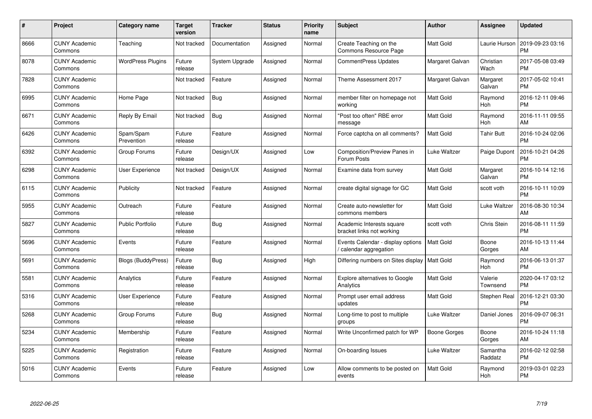| $\#$ | Project                         | <b>Category name</b>     | Target<br>version | <b>Tracker</b> | <b>Status</b> | <b>Priority</b><br>name | <b>Subject</b>                                            | <b>Author</b>    | <b>Assignee</b>       | Updated                       |
|------|---------------------------------|--------------------------|-------------------|----------------|---------------|-------------------------|-----------------------------------------------------------|------------------|-----------------------|-------------------------------|
| 8666 | <b>CUNY Academic</b><br>Commons | Teaching                 | Not tracked       | Documentation  | Assigned      | Normal                  | Create Teaching on the<br>Commons Resource Page           | Matt Gold        | Laurie Hurson         | 2019-09-23 03:16<br><b>PM</b> |
| 8078 | <b>CUNY Academic</b><br>Commons | <b>WordPress Plugins</b> | Future<br>release | System Upgrade | Assigned      | Normal                  | <b>CommentPress Updates</b>                               | Margaret Galvan  | Christian<br>Wach     | 2017-05-08 03:49<br>PM        |
| 7828 | <b>CUNY Academic</b><br>Commons |                          | Not tracked       | Feature        | Assigned      | Normal                  | Theme Assessment 2017                                     | Margaret Galvan  | Margaret<br>Galvan    | 2017-05-02 10:41<br><b>PM</b> |
| 6995 | <b>CUNY Academic</b><br>Commons | Home Page                | Not tracked       | <b>Bug</b>     | Assigned      | Normal                  | member filter on homepage not<br>workina                  | Matt Gold        | Raymond<br><b>Hoh</b> | 2016-12-11 09:46<br>PM        |
| 6671 | <b>CUNY Academic</b><br>Commons | Reply By Email           | Not tracked       | <b>Bug</b>     | Assigned      | Normal                  | "Post too often" RBE error<br>message                     | Matt Gold        | Raymond<br><b>Hoh</b> | 2016-11-11 09:55<br>AM        |
| 6426 | <b>CUNY Academic</b><br>Commons | Spam/Spam<br>Prevention  | Future<br>release | Feature        | Assigned      | Normal                  | Force captcha on all comments?                            | Matt Gold        | <b>Tahir Butt</b>     | 2016-10-24 02:06<br>PM        |
| 6392 | <b>CUNY Academic</b><br>Commons | Group Forums             | Future<br>release | Design/UX      | Assigned      | Low                     | <b>Composition/Preview Panes in</b><br>Forum Posts        | Luke Waltzer     | Paige Dupont          | 2016-10-21 04:26<br>PM        |
| 6298 | <b>CUNY Academic</b><br>Commons | User Experience          | Not tracked       | Design/UX      | Assigned      | Normal                  | Examine data from survey                                  | Matt Gold        | Margaret<br>Galvan    | 2016-10-14 12:16<br><b>PM</b> |
| 6115 | <b>CUNY Academic</b><br>Commons | Publicity                | Not tracked       | Feature        | Assigned      | Normal                  | create digital signage for GC                             | Matt Gold        | scott voth            | 2016-10-11 10:09<br><b>PM</b> |
| 5955 | <b>CUNY Academic</b><br>Commons | Outreach                 | Future<br>release | Feature        | Assigned      | Normal                  | Create auto-newsletter for<br>commons members             | Matt Gold        | Luke Waltzer          | 2016-08-30 10:34<br>AM        |
| 5827 | <b>CUNY Academic</b><br>Commons | <b>Public Portfolio</b>  | Future<br>release | Bug            | Assigned      | Normal                  | Academic Interests square<br>bracket links not working    | scott voth       | Chris Stein           | 2016-08-11 11:59<br>PM        |
| 5696 | <b>CUNY Academic</b><br>Commons | Events                   | Future<br>release | Feature        | Assigned      | Normal                  | Events Calendar - display options<br>calendar aggregation | Matt Gold        | Boone<br>Gorges       | 2016-10-13 11:44<br>AM        |
| 5691 | <b>CUNY Academic</b><br>Commons | Blogs (BuddyPress)       | Future<br>release | <b>Bug</b>     | Assigned      | High                    | Differing numbers on Sites display                        | <b>Matt Gold</b> | Raymond<br>Hoh        | 2016-06-13 01:37<br>РM        |
| 5581 | <b>CUNY Academic</b><br>Commons | Analytics                | Future<br>release | Feature        | Assigned      | Normal                  | <b>Explore alternatives to Google</b><br>Analytics        | Matt Gold        | Valerie<br>Townsend   | 2020-04-17 03:12<br>РM        |
| 5316 | <b>CUNY Academic</b><br>Commons | <b>User Experience</b>   | Future<br>release | Feature        | Assigned      | Normal                  | Prompt user email address<br>updates                      | Matt Gold        | Stephen Real          | 2016-12-21 03:30<br>PM        |
| 5268 | <b>CUNY Academic</b><br>Commons | Group Forums             | Future<br>release | <b>Bug</b>     | Assigned      | Normal                  | Long-time to post to multiple<br>groups                   | Luke Waltzer     | Daniel Jones          | 2016-09-07 06:31<br>PM        |
| 5234 | <b>CUNY Academic</b><br>Commons | Membership               | Future<br>release | Feature        | Assigned      | Normal                  | Write Unconfirmed patch for WP                            | Boone Gorges     | Boone<br>Gorges       | 2016-10-24 11:18<br>AM        |
| 5225 | <b>CUNY Academic</b><br>Commons | Registration             | Future<br>release | Feature        | Assigned      | Normal                  | On-boarding Issues                                        | Luke Waltzer     | Samantha<br>Raddatz   | 2016-02-12 02:58<br><b>PM</b> |
| 5016 | <b>CUNY Academic</b><br>Commons | Events                   | Future<br>release | Feature        | Assigned      | Low                     | Allow comments to be posted on<br>events                  | Matt Gold        | Raymond<br>Hoh        | 2019-03-01 02:23<br>PM        |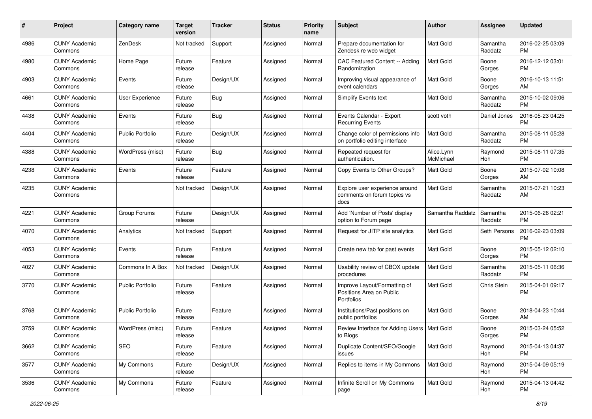| #    | Project                         | <b>Category name</b>    | <b>Target</b><br>version | <b>Tracker</b> | <b>Status</b> | <b>Priority</b><br>name | Subject                                                                       | Author                  | <b>Assignee</b>     | <b>Updated</b>                |
|------|---------------------------------|-------------------------|--------------------------|----------------|---------------|-------------------------|-------------------------------------------------------------------------------|-------------------------|---------------------|-------------------------------|
| 4986 | <b>CUNY Academic</b><br>Commons | ZenDesk                 | Not tracked              | Support        | Assigned      | Normal                  | Prepare documentation for<br>Zendesk re web widget                            | <b>Matt Gold</b>        | Samantha<br>Raddatz | 2016-02-25 03:09<br><b>PM</b> |
| 4980 | <b>CUNY Academic</b><br>Commons | Home Page               | Future<br>release        | Feature        | Assigned      | Normal                  | CAC Featured Content -- Adding<br>Randomization                               | <b>Matt Gold</b>        | Boone<br>Gorges     | 2016-12-12 03:01<br>PM        |
| 4903 | <b>CUNY Academic</b><br>Commons | Events                  | Future<br>release        | Design/UX      | Assigned      | Normal                  | Improving visual appearance of<br>event calendars                             | Matt Gold               | Boone<br>Gorges     | 2016-10-13 11:51<br>AM        |
| 4661 | <b>CUNY Academic</b><br>Commons | User Experience         | Future<br>release        | Bug            | Assigned      | Normal                  | Simplify Events text                                                          | Matt Gold               | Samantha<br>Raddatz | 2015-10-02 09:06<br><b>PM</b> |
| 4438 | <b>CUNY Academic</b><br>Commons | Events                  | Future<br>release        | Bug            | Assigned      | Normal                  | Events Calendar - Export<br><b>Recurring Events</b>                           | scott voth              | Daniel Jones        | 2016-05-23 04:25<br><b>PM</b> |
| 4404 | <b>CUNY Academic</b><br>Commons | <b>Public Portfolio</b> | Future<br>release        | Design/UX      | Assigned      | Normal                  | Change color of permissions info<br>on portfolio editing interface            | <b>Matt Gold</b>        | Samantha<br>Raddatz | 2015-08-11 05:28<br><b>PM</b> |
| 4388 | <b>CUNY Academic</b><br>Commons | WordPress (misc)        | Future<br>release        | Bug            | Assigned      | Normal                  | Repeated request for<br>authentication.                                       | Alice.Lynn<br>McMichael | Raymond<br>Hoh      | 2015-08-11 07:35<br><b>PM</b> |
| 4238 | <b>CUNY Academic</b><br>Commons | Events                  | Future<br>release        | Feature        | Assigned      | Normal                  | Copy Events to Other Groups?                                                  | Matt Gold               | Boone<br>Gorges     | 2015-07-02 10:08<br>AM        |
| 4235 | <b>CUNY Academic</b><br>Commons |                         | Not tracked              | Design/UX      | Assigned      | Normal                  | Explore user experience around<br>comments on forum topics vs<br>docs         | <b>Matt Gold</b>        | Samantha<br>Raddatz | 2015-07-21 10:23<br>AM        |
| 4221 | <b>CUNY Academic</b><br>Commons | Group Forums            | Future<br>release        | Design/UX      | Assigned      | Normal                  | Add 'Number of Posts' display<br>option to Forum page                         | Samantha Raddatz        | Samantha<br>Raddatz | 2015-06-26 02:21<br><b>PM</b> |
| 4070 | <b>CUNY Academic</b><br>Commons | Analytics               | Not tracked              | Support        | Assigned      | Normal                  | Request for JITP site analytics                                               | <b>Matt Gold</b>        | Seth Persons        | 2016-02-23 03:09<br>PM        |
| 4053 | <b>CUNY Academic</b><br>Commons | Events                  | Future<br>release        | Feature        | Assigned      | Normal                  | Create new tab for past events                                                | <b>Matt Gold</b>        | Boone<br>Gorges     | 2015-05-12 02:10<br><b>PM</b> |
| 4027 | <b>CUNY Academic</b><br>Commons | Commons In A Box        | Not tracked              | Design/UX      | Assigned      | Normal                  | Usability review of CBOX update<br>procedures                                 | <b>Matt Gold</b>        | Samantha<br>Raddatz | 2015-05-11 06:36<br><b>PM</b> |
| 3770 | <b>CUNY Academic</b><br>Commons | <b>Public Portfolio</b> | Future<br>release        | Feature        | Assigned      | Normal                  | Improve Layout/Formatting of<br>Positions Area on Public<br><b>Portfolios</b> | Matt Gold               | Chris Stein         | 2015-04-01 09:17<br><b>PM</b> |
| 3768 | <b>CUNY Academic</b><br>Commons | <b>Public Portfolio</b> | Future<br>release        | Feature        | Assigned      | Normal                  | Institutions/Past positions on<br>public portfolios                           | Matt Gold               | Boone<br>Gorges     | 2018-04-23 10:44<br>AM        |
| 3759 | <b>CUNY Academic</b><br>Commons | WordPress (misc)        | Future<br>release        | Feature        | Assigned      | Normal                  | Review Interface for Adding Users   Matt Gold<br>to Blogs                     |                         | Boone<br>Gorges     | 2015-03-24 05:52<br>PM        |
| 3662 | <b>CUNY Academic</b><br>Commons | SEO                     | Future<br>release        | Feature        | Assigned      | Normal                  | Duplicate Content/SEO/Google<br>issues                                        | Matt Gold               | Raymond<br>Hoh      | 2015-04-13 04:37<br>PM        |
| 3577 | <b>CUNY Academic</b><br>Commons | My Commons              | Future<br>release        | Design/UX      | Assigned      | Normal                  | Replies to items in My Commons                                                | Matt Gold               | Raymond<br>Hoh      | 2015-04-09 05:19<br><b>PM</b> |
| 3536 | <b>CUNY Academic</b><br>Commons | My Commons              | Future<br>release        | Feature        | Assigned      | Normal                  | Infinite Scroll on My Commons<br>page                                         | Matt Gold               | Raymond<br>Hoh      | 2015-04-13 04:42<br><b>PM</b> |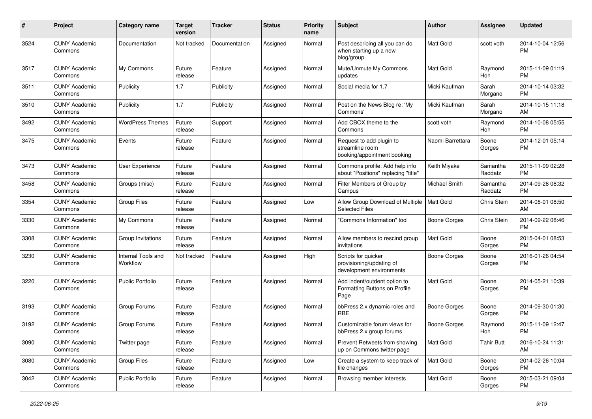| #    | Project                         | <b>Category name</b>           | <b>Target</b><br>version | <b>Tracker</b> | <b>Status</b> | <b>Priority</b><br>name | <b>Subject</b>                                                              | Author              | Assignee            | <b>Updated</b>                |
|------|---------------------------------|--------------------------------|--------------------------|----------------|---------------|-------------------------|-----------------------------------------------------------------------------|---------------------|---------------------|-------------------------------|
| 3524 | <b>CUNY Academic</b><br>Commons | Documentation                  | Not tracked              | Documentation  | Assigned      | Normal                  | Post describing all you can do<br>when starting up a new<br>blog/group      | <b>Matt Gold</b>    | scott voth          | 2014-10-04 12:56<br><b>PM</b> |
| 3517 | <b>CUNY Academic</b><br>Commons | My Commons                     | Future<br>release        | Feature        | Assigned      | Normal                  | Mute/Unmute My Commons<br>updates                                           | <b>Matt Gold</b>    | Raymond<br>Hoh      | 2015-11-09 01:19<br><b>PM</b> |
| 3511 | <b>CUNY Academic</b><br>Commons | Publicity                      | 1.7                      | Publicity      | Assigned      | Normal                  | Social media for 1.7                                                        | Micki Kaufman       | Sarah<br>Morgano    | 2014-10-14 03:32<br><b>PM</b> |
| 3510 | <b>CUNY Academic</b><br>Commons | Publicity                      | 1.7                      | Publicity      | Assigned      | Normal                  | Post on the News Blog re: 'My<br>Commons'                                   | Micki Kaufman       | Sarah<br>Morgano    | 2014-10-15 11:18<br>AM        |
| 3492 | <b>CUNY Academic</b><br>Commons | <b>WordPress Themes</b>        | Future<br>release        | Support        | Assigned      | Normal                  | Add CBOX theme to the<br>Commons                                            | scott voth          | Raymond<br>Hoh      | 2014-10-08 05:55<br><b>PM</b> |
| 3475 | <b>CUNY Academic</b><br>Commons | Events                         | Future<br>release        | Feature        | Assigned      | Normal                  | Request to add plugin to<br>streamline room<br>booking/appointment booking  | Naomi Barrettara    | Boone<br>Gorges     | 2014-12-01 05:14<br><b>PM</b> |
| 3473 | <b>CUNY Academic</b><br>Commons | User Experience                | Future<br>release        | Feature        | Assigned      | Normal                  | Commons profile: Add help info<br>about "Positions" replacing "title"       | Keith Miyake        | Samantha<br>Raddatz | 2015-11-09 02:28<br><b>PM</b> |
| 3458 | <b>CUNY Academic</b><br>Commons | Groups (misc)                  | Future<br>release        | Feature        | Assigned      | Normal                  | Filter Members of Group by<br>Campus                                        | Michael Smith       | Samantha<br>Raddatz | 2014-09-26 08:32<br><b>PM</b> |
| 3354 | <b>CUNY Academic</b><br>Commons | <b>Group Files</b>             | Future<br>release        | Feature        | Assigned      | Low                     | Allow Group Download of Multiple<br><b>Selected Files</b>                   | Matt Gold           | Chris Stein         | 2014-08-01 08:50<br>AM        |
| 3330 | <b>CUNY Academic</b><br>Commons | My Commons                     | Future<br>release        | Feature        | Assigned      | Normal                  | "Commons Information" tool                                                  | <b>Boone Gorges</b> | Chris Stein         | 2014-09-22 08:46<br><b>PM</b> |
| 3308 | <b>CUNY Academic</b><br>Commons | Group Invitations              | Future<br>release        | Feature        | Assigned      | Normal                  | Allow members to rescind group<br>invitations                               | Matt Gold           | Boone<br>Gorges     | 2015-04-01 08:53<br><b>PM</b> |
| 3230 | <b>CUNY Academic</b><br>Commons | Internal Tools and<br>Workflow | Not tracked              | Feature        | Assigned      | High                    | Scripts for quicker<br>provisioning/updating of<br>development environments | Boone Gorges        | Boone<br>Gorges     | 2016-01-26 04:54<br><b>PM</b> |
| 3220 | <b>CUNY Academic</b><br>Commons | <b>Public Portfolio</b>        | Future<br>release        | Feature        | Assigned      | Normal                  | Add indent/outdent option to<br>Formatting Buttons on Profile<br>Page       | <b>Matt Gold</b>    | Boone<br>Gorges     | 2014-05-21 10:39<br>PM        |
| 3193 | <b>CUNY Academic</b><br>Commons | Group Forums                   | Future<br>release        | Feature        | Assigned      | Normal                  | bbPress 2.x dynamic roles and<br>RBE                                        | <b>Boone Gorges</b> | Boone<br>Gorges     | 2014-09-30 01:30<br><b>PM</b> |
| 3192 | <b>CUNY Academic</b><br>Commons | Group Forums                   | Future<br>release        | Feature        | Assigned      | Normal                  | Customizable forum views for<br>bbPress 2.x group forums                    | <b>Boone Gorges</b> | Raymond<br>Hoh      | 2015-11-09 12:47<br>PM        |
| 3090 | <b>CUNY Academic</b><br>Commons | Twitter page                   | Future<br>release        | Feature        | Assigned      | Normal                  | Prevent Retweets from showing<br>up on Commons twitter page                 | Matt Gold           | <b>Tahir Butt</b>   | 2016-10-24 11:31<br>AM        |
| 3080 | <b>CUNY Academic</b><br>Commons | Group Files                    | Future<br>release        | Feature        | Assigned      | Low                     | Create a system to keep track of<br>file changes                            | Matt Gold           | Boone<br>Gorges     | 2014-02-26 10:04<br><b>PM</b> |
| 3042 | <b>CUNY Academic</b><br>Commons | Public Portfolio               | Future<br>release        | Feature        | Assigned      | Normal                  | Browsing member interests                                                   | Matt Gold           | Boone<br>Gorges     | 2015-03-21 09:04<br><b>PM</b> |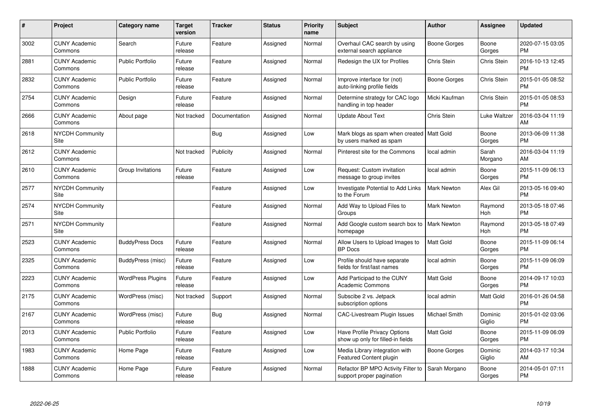| $\#$ | Project                         | Category name            | <b>Target</b><br>version | <b>Tracker</b> | <b>Status</b> | <b>Priority</b><br>name | <b>Subject</b>                                                         | Author               | <b>Assignee</b>   | <b>Updated</b>                |
|------|---------------------------------|--------------------------|--------------------------|----------------|---------------|-------------------------|------------------------------------------------------------------------|----------------------|-------------------|-------------------------------|
| 3002 | <b>CUNY Academic</b><br>Commons | Search                   | Future<br>release        | Feature        | Assigned      | Normal                  | Overhaul CAC search by using<br>external search appliance              | Boone Gorges         | Boone<br>Gorges   | 2020-07-15 03:05<br><b>PM</b> |
| 2881 | <b>CUNY Academic</b><br>Commons | <b>Public Portfolio</b>  | Future<br>release        | Feature        | Assigned      | Normal                  | Redesign the UX for Profiles                                           | <b>Chris Stein</b>   | Chris Stein       | 2016-10-13 12:45<br><b>PM</b> |
| 2832 | <b>CUNY Academic</b><br>Commons | <b>Public Portfolio</b>  | Future<br>release        | Feature        | Assigned      | Normal                  | Improve interface for (not)<br>auto-linking profile fields             | Boone Gorges         | Chris Stein       | 2015-01-05 08:52<br><b>PM</b> |
| 2754 | <b>CUNY Academic</b><br>Commons | Design                   | Future<br>release        | Feature        | Assigned      | Normal                  | Determine strategy for CAC logo<br>handling in top header              | Micki Kaufman        | Chris Stein       | 2015-01-05 08:53<br><b>PM</b> |
| 2666 | <b>CUNY Academic</b><br>Commons | About page               | Not tracked              | Documentation  | Assigned      | Normal                  | <b>Update About Text</b>                                               | Chris Stein          | Luke Waltzer      | 2016-03-04 11:19<br>AM        |
| 2618 | <b>NYCDH Community</b><br>Site  |                          |                          | Bug            | Assigned      | Low                     | Mark blogs as spam when created   Matt Gold<br>by users marked as spam |                      | Boone<br>Gorges   | 2013-06-09 11:38<br><b>PM</b> |
| 2612 | <b>CUNY Academic</b><br>Commons |                          | Not tracked              | Publicity      | Assigned      | Normal                  | Pinterest site for the Commons                                         | local admin          | Sarah<br>Morgano  | 2016-03-04 11:19<br>AM        |
| 2610 | <b>CUNY Academic</b><br>Commons | Group Invitations        | Future<br>release        | Feature        | Assigned      | Low                     | Request: Custom invitation<br>message to group invites                 | local admin          | Boone<br>Gorges   | 2015-11-09 06:13<br><b>PM</b> |
| 2577 | <b>NYCDH Community</b><br>Site  |                          |                          | Feature        | Assigned      | Low                     | <b>Investigate Potential to Add Links</b><br>to the Forum              | <b>Mark Newton</b>   | Alex Gil          | 2013-05-16 09:40<br><b>PM</b> |
| 2574 | <b>NYCDH Community</b><br>Site  |                          |                          | Feature        | Assigned      | Normal                  | Add Way to Upload Files to<br>Groups                                   | Mark Newton          | Raymond<br>Hoh    | 2013-05-18 07:46<br><b>PM</b> |
| 2571 | <b>NYCDH Community</b><br>Site  |                          |                          | Feature        | Assigned      | Normal                  | Add Google custom search box to<br>homepage                            | <b>Mark Newton</b>   | Raymond<br>Hoh    | 2013-05-18 07:49<br><b>PM</b> |
| 2523 | <b>CUNY Academic</b><br>Commons | <b>BuddyPress Docs</b>   | Future<br>release        | Feature        | Assigned      | Normal                  | Allow Users to Upload Images to<br><b>BP</b> Docs                      | <b>Matt Gold</b>     | Boone<br>Gorges   | 2015-11-09 06:14<br><b>PM</b> |
| 2325 | <b>CUNY Academic</b><br>Commons | BuddyPress (misc)        | Future<br>release        | Feature        | Assigned      | Low                     | Profile should have separate<br>fields for first/last names            | local admin          | Boone<br>Gorges   | 2015-11-09 06:09<br><b>PM</b> |
| 2223 | <b>CUNY Academic</b><br>Commons | <b>WordPress Plugins</b> | Future<br>release        | Feature        | Assigned      | Low                     | Add Participad to the CUNY<br><b>Academic Commons</b>                  | Matt Gold            | Boone<br>Gorges   | 2014-09-17 10:03<br><b>PM</b> |
| 2175 | <b>CUNY Academic</b><br>Commons | WordPress (misc)         | Not tracked              | Support        | Assigned      | Normal                  | Subscibe 2 vs. Jetpack<br>subscription options                         | local admin          | Matt Gold         | 2016-01-26 04:58<br><b>PM</b> |
| 2167 | <b>CUNY Academic</b><br>Commons | WordPress (misc)         | Future<br>release        | Bug            | Assigned      | Normal                  | <b>CAC-Livestream Plugin Issues</b>                                    | <b>Michael Smith</b> | Dominic<br>Giglio | 2015-01-02 03:06<br><b>PM</b> |
| 2013 | <b>CUNY Academic</b><br>Commons | <b>Public Portfolio</b>  | Future<br>release        | Feature        | Assigned      | Low                     | Have Profile Privacy Options<br>show up only for filled-in fields      | <b>Matt Gold</b>     | Boone<br>Gorges   | 2015-11-09 06:09<br><b>PM</b> |
| 1983 | <b>CUNY Academic</b><br>Commons | Home Page                | Future<br>release        | Feature        | Assigned      | Low                     | Media Library integration with<br><b>Featured Content plugin</b>       | Boone Gorges         | Dominic<br>Giglio | 2014-03-17 10:34<br>AM        |
| 1888 | <b>CUNY Academic</b><br>Commons | Home Page                | Future<br>release        | Feature        | Assigned      | Normal                  | Refactor BP MPO Activity Filter to<br>support proper pagination        | Sarah Morgano        | Boone<br>Gorges   | 2014-05-01 07:11<br>PM        |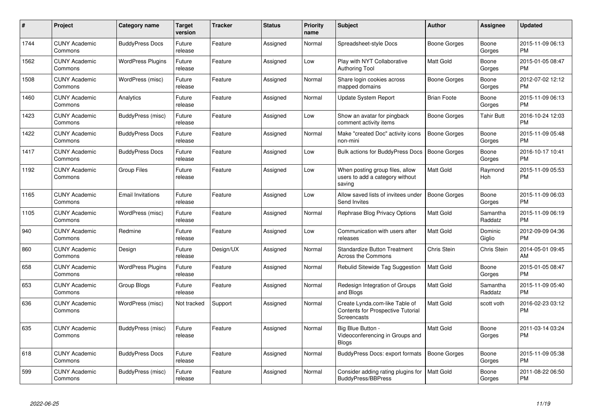| #    | Project                         | <b>Category name</b>     | Target<br>version | <b>Tracker</b> | <b>Status</b> | <b>Priority</b><br>name | <b>Subject</b>                                                                     | <b>Author</b>       | <b>Assignee</b>     | <b>Updated</b>                |
|------|---------------------------------|--------------------------|-------------------|----------------|---------------|-------------------------|------------------------------------------------------------------------------------|---------------------|---------------------|-------------------------------|
| 1744 | <b>CUNY Academic</b><br>Commons | <b>BuddyPress Docs</b>   | Future<br>release | Feature        | Assigned      | Normal                  | Spreadsheet-style Docs                                                             | Boone Gorges        | Boone<br>Gorges     | 2015-11-09 06:13<br><b>PM</b> |
| 1562 | <b>CUNY Academic</b><br>Commons | <b>WordPress Plugins</b> | Future<br>release | Feature        | Assigned      | Low                     | Play with NYT Collaborative<br><b>Authoring Tool</b>                               | Matt Gold           | Boone<br>Gorges     | 2015-01-05 08:47<br><b>PM</b> |
| 1508 | <b>CUNY Academic</b><br>Commons | WordPress (misc)         | Future<br>release | Feature        | Assigned      | Normal                  | Share login cookies across<br>mapped domains                                       | Boone Gorges        | Boone<br>Gorges     | 2012-07-02 12:12<br><b>PM</b> |
| 1460 | <b>CUNY Academic</b><br>Commons | Analytics                | Future<br>release | Feature        | Assigned      | Normal                  | Update System Report                                                               | <b>Brian Foote</b>  | Boone<br>Gorges     | 2015-11-09 06:13<br><b>PM</b> |
| 1423 | <b>CUNY Academic</b><br>Commons | BuddyPress (misc)        | Future<br>release | Feature        | Assigned      | Low                     | Show an avatar for pingback<br>comment activity items                              | Boone Gorges        | Tahir Butt          | 2016-10-24 12:03<br><b>PM</b> |
| 1422 | <b>CUNY Academic</b><br>Commons | <b>BuddyPress Docs</b>   | Future<br>release | Feature        | Assigned      | Normal                  | Make "created Doc" activity icons<br>non-mini                                      | <b>Boone Gorges</b> | Boone<br>Gorges     | 2015-11-09 05:48<br><b>PM</b> |
| 1417 | <b>CUNY Academic</b><br>Commons | <b>BuddyPress Docs</b>   | Future<br>release | Feature        | Assigned      | Low                     | Bulk actions for BuddyPress Docs                                                   | <b>Boone Gorges</b> | Boone<br>Gorges     | 2016-10-17 10:41<br><b>PM</b> |
| 1192 | <b>CUNY Academic</b><br>Commons | <b>Group Files</b>       | Future<br>release | Feature        | Assigned      | Low                     | When posting group files, allow<br>users to add a category without<br>saving       | Matt Gold           | Raymond<br>Hoh      | 2015-11-09 05:53<br><b>PM</b> |
| 1165 | <b>CUNY Academic</b><br>Commons | <b>Email Invitations</b> | Future<br>release | Feature        | Assigned      | Low                     | Allow saved lists of invitees under<br>Send Invites                                | <b>Boone Gorges</b> | Boone<br>Gorges     | 2015-11-09 06:03<br><b>PM</b> |
| 1105 | <b>CUNY Academic</b><br>Commons | WordPress (misc)         | Future<br>release | Feature        | Assigned      | Normal                  | Rephrase Blog Privacy Options                                                      | Matt Gold           | Samantha<br>Raddatz | 2015-11-09 06:19<br><b>PM</b> |
| 940  | <b>CUNY Academic</b><br>Commons | Redmine                  | Future<br>release | Feature        | Assigned      | Low                     | Communication with users after<br>releases                                         | <b>Matt Gold</b>    | Dominic<br>Giglio   | 2012-09-09 04:36<br><b>PM</b> |
| 860  | <b>CUNY Academic</b><br>Commons | Design                   | Future<br>release | Design/UX      | Assigned      | Normal                  | <b>Standardize Button Treatment</b><br><b>Across the Commons</b>                   | <b>Chris Stein</b>  | Chris Stein         | 2014-05-01 09:45<br>AM        |
| 658  | <b>CUNY Academic</b><br>Commons | <b>WordPress Plugins</b> | Future<br>release | Feature        | Assigned      | Normal                  | Rebulid Sitewide Tag Suggestion                                                    | Matt Gold           | Boone<br>Gorges     | 2015-01-05 08:47<br><b>PM</b> |
| 653  | <b>CUNY Academic</b><br>Commons | Group Blogs              | Future<br>release | Feature        | Assigned      | Normal                  | Redesign Integration of Groups<br>and Blogs                                        | Matt Gold           | Samantha<br>Raddatz | 2015-11-09 05:40<br><b>PM</b> |
| 636  | <b>CUNY Academic</b><br>Commons | WordPress (misc)         | Not tracked       | Support        | Assigned      | Normal                  | Create Lynda.com-like Table of<br>Contents for Prospective Tutorial<br>Screencasts | Matt Gold           | scott voth          | 2016-02-23 03:12<br>PM        |
| 635  | <b>CUNY Academic</b><br>Commons | BuddyPress (misc)        | Future<br>release | Feature        | Assigned      | Normal                  | Big Blue Button -<br>Videoconferencing in Groups and<br><b>Blogs</b>               | Matt Gold           | Boone<br>Gorges     | 2011-03-14 03:24<br><b>PM</b> |
| 618  | <b>CUNY Academic</b><br>Commons | <b>BuddyPress Docs</b>   | Future<br>release | Feature        | Assigned      | Normal                  | BuddyPress Docs: export formats                                                    | <b>Boone Gorges</b> | Boone<br>Gorges     | 2015-11-09 05:38<br><b>PM</b> |
| 599  | <b>CUNY Academic</b><br>Commons | BuddyPress (misc)        | Future<br>release | Feature        | Assigned      | Normal                  | Consider adding rating plugins for<br><b>BuddyPress/BBPress</b>                    | <b>Matt Gold</b>    | Boone<br>Gorges     | 2011-08-22 06:50<br>PM        |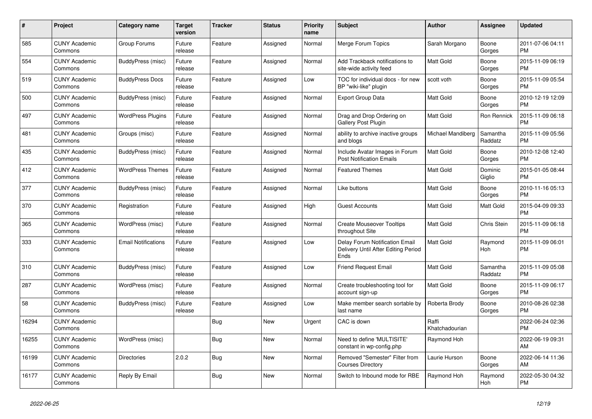| #     | Project                         | <b>Category name</b>       | <b>Target</b><br>version | <b>Tracker</b> | <b>Status</b> | <b>Priority</b><br>name | <b>Subject</b>                                                                | Author                  | Assignee            | <b>Updated</b>                |
|-------|---------------------------------|----------------------------|--------------------------|----------------|---------------|-------------------------|-------------------------------------------------------------------------------|-------------------------|---------------------|-------------------------------|
| 585   | <b>CUNY Academic</b><br>Commons | Group Forums               | Future<br>release        | Feature        | Assigned      | Normal                  | Merge Forum Topics                                                            | Sarah Morgano           | Boone<br>Gorges     | 2011-07-06 04:11<br><b>PM</b> |
| 554   | <b>CUNY Academic</b><br>Commons | BuddyPress (misc)          | Future<br>release        | Feature        | Assigned      | Normal                  | Add Trackback notifications to<br>site-wide activity feed                     | <b>Matt Gold</b>        | Boone<br>Gorges     | 2015-11-09 06:19<br><b>PM</b> |
| 519   | <b>CUNY Academic</b><br>Commons | <b>BuddyPress Docs</b>     | Future<br>release        | Feature        | Assigned      | Low                     | TOC for individual docs - for new<br>BP "wiki-like" plugin                    | scott voth              | Boone<br>Gorges     | 2015-11-09 05:54<br><b>PM</b> |
| 500   | <b>CUNY Academic</b><br>Commons | BuddyPress (misc)          | Future<br>release        | Feature        | Assigned      | Normal                  | <b>Export Group Data</b>                                                      | <b>Matt Gold</b>        | Boone<br>Gorges     | 2010-12-19 12:09<br><b>PM</b> |
| 497   | <b>CUNY Academic</b><br>Commons | <b>WordPress Plugins</b>   | Future<br>release        | Feature        | Assigned      | Normal                  | Drag and Drop Ordering on<br><b>Gallery Post Plugin</b>                       | Matt Gold               | <b>Ron Rennick</b>  | 2015-11-09 06:18<br><b>PM</b> |
| 481   | <b>CUNY Academic</b><br>Commons | Groups (misc)              | Future<br>release        | Feature        | Assigned      | Normal                  | ability to archive inactive groups<br>and blogs                               | Michael Mandiberg       | Samantha<br>Raddatz | 2015-11-09 05:56<br><b>PM</b> |
| 435   | <b>CUNY Academic</b><br>Commons | BuddyPress (misc)          | Future<br>release        | Feature        | Assigned      | Normal                  | Include Avatar Images in Forum<br><b>Post Notification Emails</b>             | <b>Matt Gold</b>        | Boone<br>Gorges     | 2010-12-08 12:40<br><b>PM</b> |
| 412   | <b>CUNY Academic</b><br>Commons | <b>WordPress Themes</b>    | Future<br>release        | Feature        | Assigned      | Normal                  | <b>Featured Themes</b>                                                        | <b>Matt Gold</b>        | Dominic<br>Giglio   | 2015-01-05 08:44<br><b>PM</b> |
| 377   | <b>CUNY Academic</b><br>Commons | BuddyPress (misc)          | Future<br>release        | Feature        | Assigned      | Normal                  | Like buttons                                                                  | Matt Gold               | Boone<br>Gorges     | 2010-11-16 05:13<br><b>PM</b> |
| 370   | <b>CUNY Academic</b><br>Commons | Registration               | Future<br>release        | Feature        | Assigned      | High                    | <b>Guest Accounts</b>                                                         | <b>Matt Gold</b>        | Matt Gold           | 2015-04-09 09:33<br><b>PM</b> |
| 365   | <b>CUNY Academic</b><br>Commons | WordPress (misc)           | Future<br>release        | Feature        | Assigned      | Normal                  | <b>Create Mouseover Tooltips</b><br>throughout Site                           | <b>Matt Gold</b>        | Chris Stein         | 2015-11-09 06:18<br><b>PM</b> |
| 333   | <b>CUNY Academic</b><br>Commons | <b>Email Notifications</b> | Future<br>release        | Feature        | Assigned      | Low                     | Delay Forum Notification Email<br>Delivery Until After Editing Period<br>Ends | Matt Gold               | Raymond<br>Hoh      | 2015-11-09 06:01<br><b>PM</b> |
| 310   | <b>CUNY Academic</b><br>Commons | BuddyPress (misc)          | Future<br>release        | Feature        | Assigned      | Low                     | <b>Friend Request Email</b>                                                   | Matt Gold               | Samantha<br>Raddatz | 2015-11-09 05:08<br><b>PM</b> |
| 287   | <b>CUNY Academic</b><br>Commons | WordPress (misc)           | Future<br>release        | Feature        | Assigned      | Normal                  | Create troubleshooting tool for<br>account sign-up                            | <b>Matt Gold</b>        | Boone<br>Gorges     | 2015-11-09 06:17<br><b>PM</b> |
| 58    | <b>CUNY Academic</b><br>Commons | BuddyPress (misc)          | Future<br>release        | Feature        | Assigned      | Low                     | Make member search sortable by<br>last name                                   | Roberta Brody           | Boone<br>Gorges     | 2010-08-26 02:38<br><b>PM</b> |
| 16294 | <b>CUNY Academic</b><br>Commons |                            |                          | <b>Bug</b>     | <b>New</b>    | Urgent                  | CAC is down                                                                   | Raffi<br>Khatchadourian |                     | 2022-06-24 02:36<br>PM        |
| 16255 | <b>CUNY Academic</b><br>Commons | WordPress (misc)           |                          | Bug            | <b>New</b>    | Normal                  | Need to define 'MULTISITE'<br>constant in wp-config.php                       | Raymond Hoh             |                     | 2022-06-19 09:31<br>AM        |
| 16199 | <b>CUNY Academic</b><br>Commons | <b>Directories</b>         | 2.0.2                    | <b>Bug</b>     | <b>New</b>    | Normal                  | Removed "Semester" Filter from<br><b>Courses Directory</b>                    | Laurie Hurson           | Boone<br>Gorges     | 2022-06-14 11:36<br>AM        |
| 16177 | <b>CUNY Academic</b><br>Commons | Reply By Email             |                          | Bug            | <b>New</b>    | Normal                  | Switch to Inbound mode for RBE                                                | Raymond Hoh             | Raymond<br>Hoh      | 2022-05-30 04:32<br><b>PM</b> |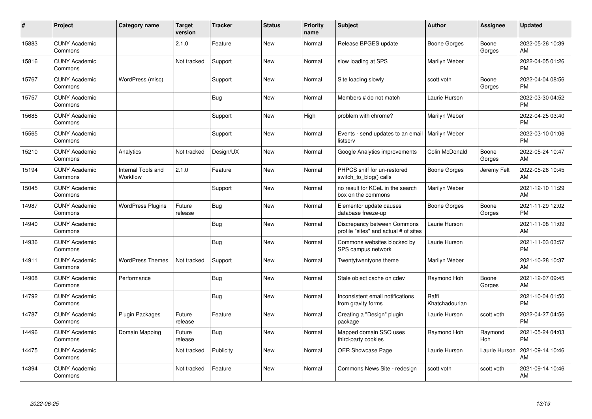| #     | Project                         | <b>Category name</b>           | <b>Target</b><br>version | <b>Tracker</b> | <b>Status</b> | <b>Priority</b><br>name | <b>Subject</b>                                                       | <b>Author</b>           | <b>Assignee</b>       | <b>Updated</b>                |
|-------|---------------------------------|--------------------------------|--------------------------|----------------|---------------|-------------------------|----------------------------------------------------------------------|-------------------------|-----------------------|-------------------------------|
| 15883 | <b>CUNY Academic</b><br>Commons |                                | 2.1.0                    | Feature        | <b>New</b>    | Normal                  | Release BPGES update                                                 | Boone Gorges            | Boone<br>Gorges       | 2022-05-26 10:39<br>AM        |
| 15816 | <b>CUNY Academic</b><br>Commons |                                | Not tracked              | Support        | <b>New</b>    | Normal                  | slow loading at SPS                                                  | Marilyn Weber           |                       | 2022-04-05 01:26<br><b>PM</b> |
| 15767 | <b>CUNY Academic</b><br>Commons | WordPress (misc)               |                          | Support        | <b>New</b>    | Normal                  | Site loading slowly                                                  | scott voth              | Boone<br>Gorges       | 2022-04-04 08:56<br><b>PM</b> |
| 15757 | <b>CUNY Academic</b><br>Commons |                                |                          | Bug            | New           | Normal                  | Members # do not match                                               | Laurie Hurson           |                       | 2022-03-30 04:52<br><b>PM</b> |
| 15685 | <b>CUNY Academic</b><br>Commons |                                |                          | Support        | <b>New</b>    | High                    | problem with chrome?                                                 | Marilyn Weber           |                       | 2022-04-25 03:40<br><b>PM</b> |
| 15565 | <b>CUNY Academic</b><br>Commons |                                |                          | Support        | New           | Normal                  | Events - send updates to an email<br>listserv                        | Marilyn Weber           |                       | 2022-03-10 01:06<br><b>PM</b> |
| 15210 | <b>CUNY Academic</b><br>Commons | Analytics                      | Not tracked              | Design/UX      | <b>New</b>    | Normal                  | Google Analytics improvements                                        | Colin McDonald          | Boone<br>Gorges       | 2022-05-24 10:47<br>AM        |
| 15194 | <b>CUNY Academic</b><br>Commons | Internal Tools and<br>Workflow | 2.1.0                    | Feature        | <b>New</b>    | Normal                  | PHPCS sniff for un-restored<br>switch to blog() calls                | Boone Gorges            | Jeremy Felt           | 2022-05-26 10:45<br>AM        |
| 15045 | <b>CUNY Academic</b><br>Commons |                                |                          | Support        | <b>New</b>    | Normal                  | no result for KCeL in the search<br>box on the commons               | Marilyn Weber           |                       | 2021-12-10 11:29<br>AM        |
| 14987 | <b>CUNY Academic</b><br>Commons | <b>WordPress Plugins</b>       | Future<br>release        | Bug            | <b>New</b>    | Normal                  | Elementor update causes<br>database freeze-up                        | Boone Gorges            | Boone<br>Gorges       | 2021-11-29 12:02<br><b>PM</b> |
| 14940 | <b>CUNY Academic</b><br>Commons |                                |                          | <b>Bug</b>     | <b>New</b>    | Normal                  | Discrepancy between Commons<br>profile "sites" and actual # of sites | Laurie Hurson           |                       | 2021-11-08 11:09<br>AM        |
| 14936 | <b>CUNY Academic</b><br>Commons |                                |                          | Bug            | <b>New</b>    | Normal                  | Commons websites blocked by<br>SPS campus network                    | Laurie Hurson           |                       | 2021-11-03 03:57<br><b>PM</b> |
| 14911 | <b>CUNY Academic</b><br>Commons | <b>WordPress Themes</b>        | Not tracked              | Support        | <b>New</b>    | Normal                  | Twentytwentyone theme                                                | Marilyn Weber           |                       | 2021-10-28 10:37<br>AM        |
| 14908 | <b>CUNY Academic</b><br>Commons | Performance                    |                          | Bug            | <b>New</b>    | Normal                  | Stale object cache on cdev                                           | Raymond Hoh             | Boone<br>Gorges       | 2021-12-07 09:45<br>AM        |
| 14792 | <b>CUNY Academic</b><br>Commons |                                |                          | Bug            | <b>New</b>    | Normal                  | Inconsistent email notifications<br>from gravity forms               | Raffi<br>Khatchadourian |                       | 2021-10-04 01:50<br><b>PM</b> |
| 14787 | <b>CUNY Academic</b><br>Commons | <b>Plugin Packages</b>         | Future<br>release        | Feature        | <b>New</b>    | Normal                  | Creating a "Design" plugin<br>package                                | Laurie Hurson           | scott voth            | 2022-04-27 04:56<br><b>PM</b> |
| 14496 | <b>CUNY Academic</b><br>Commons | Domain Mapping                 | Future<br>release        | <b>Bug</b>     | New           | Normal                  | Mapped domain SSO uses<br>third-party cookies                        | Raymond Hoh             | Raymond<br><b>Hoh</b> | 2021-05-24 04:03<br><b>PM</b> |
| 14475 | <b>CUNY Academic</b><br>Commons |                                | Not tracked              | Publicity      | <b>New</b>    | Normal                  | <b>OER Showcase Page</b>                                             | Laurie Hurson           | Laurie Hurson         | 2021-09-14 10:46<br>AM        |
| 14394 | <b>CUNY Academic</b><br>Commons |                                | Not tracked              | Feature        | <b>New</b>    | Normal                  | Commons News Site - redesign                                         | scott voth              | scott voth            | 2021-09-14 10:46<br>AM        |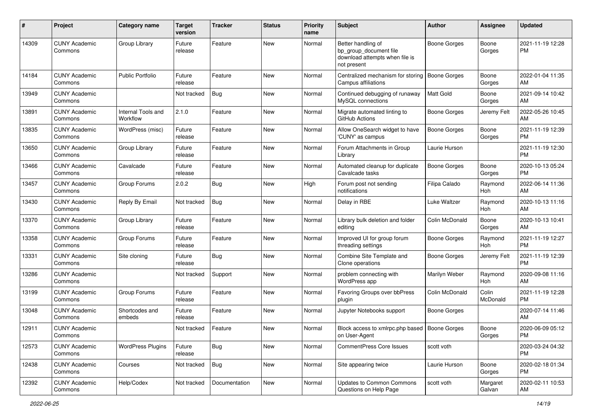| #     | Project                         | <b>Category name</b>           | <b>Target</b><br>version | <b>Tracker</b> | <b>Status</b> | <b>Priority</b><br>name | <b>Subject</b>                                                                                | Author              | Assignee           | <b>Updated</b>                |
|-------|---------------------------------|--------------------------------|--------------------------|----------------|---------------|-------------------------|-----------------------------------------------------------------------------------------------|---------------------|--------------------|-------------------------------|
| 14309 | <b>CUNY Academic</b><br>Commons | Group Library                  | Future<br>release        | Feature        | <b>New</b>    | Normal                  | Better handling of<br>bp_group_document file<br>download attempts when file is<br>not present | <b>Boone Gorges</b> | Boone<br>Gorges    | 2021-11-19 12:28<br><b>PM</b> |
| 14184 | <b>CUNY Academic</b><br>Commons | <b>Public Portfolio</b>        | Future<br>release        | Feature        | New           | Normal                  | Centralized mechanism for storing<br>Campus affiliations                                      | <b>Boone Gorges</b> | Boone<br>Gorges    | 2022-01-04 11:35<br>AM        |
| 13949 | <b>CUNY Academic</b><br>Commons |                                | Not tracked              | Bug            | <b>New</b>    | Normal                  | Continued debugging of runaway<br>MySQL connections                                           | Matt Gold           | Boone<br>Gorges    | 2021-09-14 10:42<br>AM        |
| 13891 | <b>CUNY Academic</b><br>Commons | Internal Tools and<br>Workflow | 2.1.0                    | Feature        | <b>New</b>    | Normal                  | Migrate automated linting to<br>GitHub Actions                                                | <b>Boone Gorges</b> | Jeremy Felt        | 2022-05-26 10:45<br>AM        |
| 13835 | <b>CUNY Academic</b><br>Commons | WordPress (misc)               | Future<br>release        | Feature        | <b>New</b>    | Normal                  | Allow OneSearch widget to have<br>'CUNY' as campus                                            | <b>Boone Gorges</b> | Boone<br>Gorges    | 2021-11-19 12:39<br>PM        |
| 13650 | <b>CUNY Academic</b><br>Commons | Group Library                  | Future<br>release        | Feature        | New           | Normal                  | Forum Attachments in Group<br>Library                                                         | Laurie Hurson       |                    | 2021-11-19 12:30<br><b>PM</b> |
| 13466 | <b>CUNY Academic</b><br>Commons | Cavalcade                      | Future<br>release        | Feature        | <b>New</b>    | Normal                  | Automated cleanup for duplicate<br>Cavalcade tasks                                            | <b>Boone Gorges</b> | Boone<br>Gorges    | 2020-10-13 05:24<br><b>PM</b> |
| 13457 | <b>CUNY Academic</b><br>Commons | Group Forums                   | 2.0.2                    | Bug            | <b>New</b>    | High                    | Forum post not sending<br>notifications                                                       | Filipa Calado       | Raymond<br>Hoh     | 2022-06-14 11:36<br>AM        |
| 13430 | <b>CUNY Academic</b><br>Commons | Reply By Email                 | Not tracked              | Bug            | <b>New</b>    | Normal                  | Delay in RBE                                                                                  | Luke Waltzer        | Raymond<br>Hoh     | 2020-10-13 11:16<br>AM        |
| 13370 | <b>CUNY Academic</b><br>Commons | Group Library                  | Future<br>release        | Feature        | <b>New</b>    | Normal                  | Library bulk deletion and folder<br>editing                                                   | Colin McDonald      | Boone<br>Gorges    | 2020-10-13 10:41<br>AM        |
| 13358 | <b>CUNY Academic</b><br>Commons | Group Forums                   | Future<br>release        | Feature        | <b>New</b>    | Normal                  | Improved UI for group forum<br>threading settings                                             | <b>Boone Gorges</b> | Raymond<br>Hoh     | 2021-11-19 12:27<br><b>PM</b> |
| 13331 | <b>CUNY Academic</b><br>Commons | Site cloning                   | Future<br>release        | Bug            | <b>New</b>    | Normal                  | Combine Site Template and<br>Clone operations                                                 | <b>Boone Gorges</b> | Jeremy Felt        | 2021-11-19 12:39<br><b>PM</b> |
| 13286 | <b>CUNY Academic</b><br>Commons |                                | Not tracked              | Support        | New           | Normal                  | problem connecting with<br>WordPress app                                                      | Marilyn Weber       | Raymond<br>Hoh     | 2020-09-08 11:16<br>AM        |
| 13199 | <b>CUNY Academic</b><br>Commons | Group Forums                   | Future<br>release        | Feature        | <b>New</b>    | Normal                  | Favoring Groups over bbPress<br>plugin                                                        | Colin McDonald      | Colin<br>McDonald  | 2021-11-19 12:28<br><b>PM</b> |
| 13048 | <b>CUNY Academic</b><br>Commons | Shortcodes and<br>embeds       | Future<br>release        | Feature        | <b>New</b>    | Normal                  | Jupyter Notebooks support                                                                     | <b>Boone Gorges</b> |                    | 2020-07-14 11:46<br>AM        |
| 12911 | <b>CUNY Academic</b><br>Commons |                                | Not tracked              | Feature        | <b>New</b>    | Normal                  | Block access to xmlrpc.php based   Boone Gorges<br>on User-Agent                              |                     | Boone<br>Gorges    | 2020-06-09 05:12<br>PM        |
| 12573 | <b>CUNY Academic</b><br>Commons | <b>WordPress Plugins</b>       | Future<br>release        | <b>Bug</b>     | New           | Normal                  | <b>CommentPress Core Issues</b>                                                               | scott voth          |                    | 2020-03-24 04:32<br><b>PM</b> |
| 12438 | <b>CUNY Academic</b><br>Commons | Courses                        | Not tracked              | <b>Bug</b>     | New           | Normal                  | Site appearing twice                                                                          | Laurie Hurson       | Boone<br>Gorges    | 2020-02-18 01:34<br><b>PM</b> |
| 12392 | <b>CUNY Academic</b><br>Commons | Help/Codex                     | Not tracked              | Documentation  | New           | Normal                  | <b>Updates to Common Commons</b><br>Questions on Help Page                                    | scott voth          | Margaret<br>Galvan | 2020-02-11 10:53<br>AM        |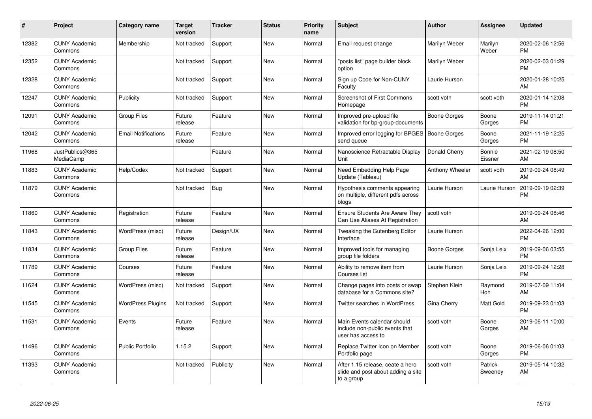| #     | Project                         | <b>Category name</b>       | <b>Target</b><br>version | <b>Tracker</b> | <b>Status</b> | <b>Priority</b><br>name | <b>Subject</b>                                                                       | <b>Author</b>       | <b>Assignee</b>    | <b>Updated</b>                |
|-------|---------------------------------|----------------------------|--------------------------|----------------|---------------|-------------------------|--------------------------------------------------------------------------------------|---------------------|--------------------|-------------------------------|
| 12382 | <b>CUNY Academic</b><br>Commons | Membership                 | Not tracked              | Support        | <b>New</b>    | Normal                  | Email request change                                                                 | Marilyn Weber       | Marilyn<br>Weber   | 2020-02-06 12:56<br><b>PM</b> |
| 12352 | <b>CUNY Academic</b><br>Commons |                            | Not tracked              | Support        | <b>New</b>    | Normal                  | "posts list" page builder block<br>option                                            | Marilyn Weber       |                    | 2020-02-03 01:29<br><b>PM</b> |
| 12328 | <b>CUNY Academic</b><br>Commons |                            | Not tracked              | Support        | <b>New</b>    | Normal                  | Sign up Code for Non-CUNY<br>Faculty                                                 | Laurie Hurson       |                    | 2020-01-28 10:25<br>AM        |
| 12247 | <b>CUNY Academic</b><br>Commons | Publicity                  | Not tracked              | Support        | New           | Normal                  | <b>Screenshot of First Commons</b><br>Homepage                                       | scott voth          | scott voth         | 2020-01-14 12:08<br><b>PM</b> |
| 12091 | <b>CUNY Academic</b><br>Commons | <b>Group Files</b>         | Future<br>release        | Feature        | <b>New</b>    | Normal                  | Improved pre-upload file<br>validation for bp-group-documents                        | <b>Boone Gorges</b> | Boone<br>Gorges    | 2019-11-14 01:21<br><b>PM</b> |
| 12042 | <b>CUNY Academic</b><br>Commons | <b>Email Notifications</b> | Future<br>release        | Feature        | <b>New</b>    | Normal                  | Improved error logging for BPGES   Boone Gorges<br>send queue                        |                     | Boone<br>Gorges    | 2021-11-19 12:25<br><b>PM</b> |
| 11968 | JustPublics@365<br>MediaCamp    |                            |                          | Feature        | <b>New</b>    | Normal                  | Nanoscience Retractable Display<br>Unit                                              | Donald Cherry       | Bonnie<br>Eissner  | 2021-02-19 08:50<br>AM        |
| 11883 | <b>CUNY Academic</b><br>Commons | Help/Codex                 | Not tracked              | Support        | <b>New</b>    | Normal                  | Need Embedding Help Page<br>Update (Tableau)                                         | Anthony Wheeler     | scott voth         | 2019-09-24 08:49<br>AM        |
| 11879 | <b>CUNY Academic</b><br>Commons |                            | Not tracked              | Bug            | <b>New</b>    | Normal                  | Hypothesis comments appearing<br>on multiple, different pdfs across<br>blogs         | Laurie Hurson       | Laurie Hurson      | 2019-09-19 02:39<br><b>PM</b> |
| 11860 | <b>CUNY Academic</b><br>Commons | Registration               | Future<br>release        | Feature        | <b>New</b>    | Normal                  | Ensure Students Are Aware They<br>Can Use Aliases At Registration                    | scott voth          |                    | 2019-09-24 08:46<br>AM        |
| 11843 | <b>CUNY Academic</b><br>Commons | WordPress (misc)           | Future<br>release        | Design/UX      | <b>New</b>    | Normal                  | Tweaking the Gutenberg Editor<br>Interface                                           | Laurie Hurson       |                    | 2022-04-26 12:00<br><b>PM</b> |
| 11834 | <b>CUNY Academic</b><br>Commons | <b>Group Files</b>         | Future<br>release        | Feature        | <b>New</b>    | Normal                  | Improved tools for managing<br>aroup file folders                                    | Boone Gorges        | Sonja Leix         | 2019-09-06 03:55<br><b>PM</b> |
| 11789 | <b>CUNY Academic</b><br>Commons | Courses                    | Future<br>release        | Feature        | <b>New</b>    | Normal                  | Ability to remove item from<br>Courses list                                          | Laurie Hurson       | Sonja Leix         | 2019-09-24 12:28<br><b>PM</b> |
| 11624 | <b>CUNY Academic</b><br>Commons | WordPress (misc)           | Not tracked              | Support        | <b>New</b>    | Normal                  | Change pages into posts or swap<br>database for a Commons site?                      | Stephen Klein       | Raymond<br>Hoh     | 2019-07-09 11:04<br>AM        |
| 11545 | <b>CUNY Academic</b><br>Commons | <b>WordPress Plugins</b>   | Not tracked              | Support        | New           | Normal                  | Twitter searches in WordPress                                                        | Gina Cherry         | Matt Gold          | 2019-09-23 01:03<br><b>PM</b> |
| 11531 | <b>CUNY Academic</b><br>Commons | Events                     | Future<br>release        | Feature        | <b>New</b>    | Normal                  | Main Events calendar should<br>include non-public events that<br>user has access to  | scott voth          | Boone<br>Gorges    | 2019-06-11 10:00<br>AM        |
| 11496 | <b>CUNY Academic</b><br>Commons | <b>Public Portfolio</b>    | 1.15.2                   | Support        | <b>New</b>    | Normal                  | Replace Twitter Icon on Member<br>Portfolio page                                     | scott voth          | Boone<br>Gorges    | 2019-06-06 01:03<br><b>PM</b> |
| 11393 | <b>CUNY Academic</b><br>Commons |                            | Not tracked              | Publicity      | <b>New</b>    | Normal                  | After 1.15 release, ceate a hero<br>slide and post about adding a site<br>to a group | scott voth          | Patrick<br>Sweeney | 2019-05-14 10:32<br>AM        |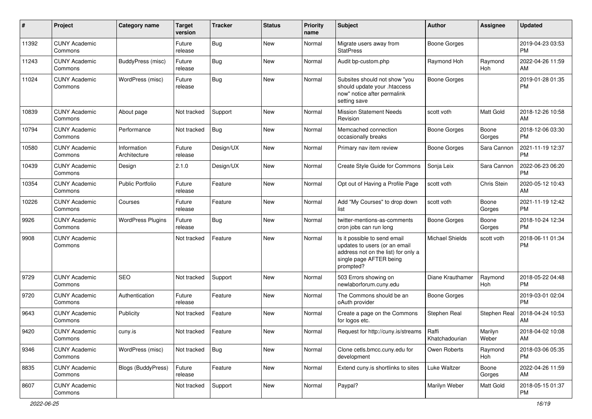| #     | Project                         | <b>Category name</b>        | Target<br>version | <b>Tracker</b> | <b>Status</b> | <b>Priority</b><br>name | <b>Subject</b>                                                                                                                               | <b>Author</b>          | Assignee         | <b>Updated</b>                |
|-------|---------------------------------|-----------------------------|-------------------|----------------|---------------|-------------------------|----------------------------------------------------------------------------------------------------------------------------------------------|------------------------|------------------|-------------------------------|
| 11392 | <b>CUNY Academic</b><br>Commons |                             | Future<br>release | <b>Bug</b>     | <b>New</b>    | Normal                  | Migrate users away from<br><b>StatPress</b>                                                                                                  | <b>Boone Gorges</b>    |                  | 2019-04-23 03:53<br><b>PM</b> |
| 11243 | <b>CUNY Academic</b><br>Commons | BuddyPress (misc)           | Future<br>release | <b>Bug</b>     | New           | Normal                  | Audit bp-custom.php                                                                                                                          | Raymond Hoh            | Raymond<br>Hoh   | 2022-04-26 11:59<br>AM        |
| 11024 | <b>CUNY Academic</b><br>Commons | WordPress (misc)            | Future<br>release | <b>Bug</b>     | New           | Normal                  | Subsites should not show "you<br>should update your .htaccess<br>now" notice after permalink<br>setting save                                 | <b>Boone Gorges</b>    |                  | 2019-01-28 01:35<br><b>PM</b> |
| 10839 | <b>CUNY Academic</b><br>Commons | About page                  | Not tracked       | Support        | New           | Normal                  | <b>Mission Statement Needs</b><br>Revision                                                                                                   | scott voth             | <b>Matt Gold</b> | 2018-12-26 10:58<br>AM        |
| 10794 | <b>CUNY Academic</b><br>Commons | Performance                 | Not tracked       | <b>Bug</b>     | <b>New</b>    | Normal                  | Memcached connection<br>occasionally breaks                                                                                                  | <b>Boone Gorges</b>    | Boone<br>Gorges  | 2018-12-06 03:30<br><b>PM</b> |
| 10580 | <b>CUNY Academic</b><br>Commons | Information<br>Architecture | Future<br>release | Design/UX      | New           | Normal                  | Primary nav item review                                                                                                                      | Boone Gorges           | Sara Cannon      | 2021-11-19 12:37<br>PM        |
| 10439 | <b>CUNY Academic</b><br>Commons | Design                      | 2.1.0             | Design/UX      | <b>New</b>    | Normal                  | Create Style Guide for Commons                                                                                                               | Sonja Leix             | Sara Cannon      | 2022-06-23 06:20<br><b>PM</b> |
| 10354 | <b>CUNY Academic</b><br>Commons | <b>Public Portfolio</b>     | Future<br>release | Feature        | New           | Normal                  | Opt out of Having a Profile Page                                                                                                             | scott voth             | Chris Stein      | 2020-05-12 10:43<br>AM        |
| 10226 | <b>CUNY Academic</b><br>Commons | Courses                     | Future<br>release | Feature        | <b>New</b>    | Normal                  | Add "My Courses" to drop down<br>list                                                                                                        | scott voth             | Boone<br>Gorges  | 2021-11-19 12:42<br><b>PM</b> |
| 9926  | <b>CUNY Academic</b><br>Commons | <b>WordPress Plugins</b>    | Future<br>release | <b>Bug</b>     | <b>New</b>    | Normal                  | twitter-mentions-as-comments<br>cron jobs can run long                                                                                       | <b>Boone Gorges</b>    | Boone<br>Gorges  | 2018-10-24 12:34<br><b>PM</b> |
| 9908  | <b>CUNY Academic</b><br>Commons |                             | Not tracked       | Feature        | New           | Normal                  | Is it possible to send email<br>updates to users (or an email<br>address not on the list) for only a<br>single page AFTER being<br>prompted? | <b>Michael Shields</b> | scott voth       | 2018-06-11 01:34<br><b>PM</b> |
| 9729  | <b>CUNY Academic</b><br>Commons | <b>SEO</b>                  | Not tracked       | Support        | New           | Normal                  | 503 Errors showing on<br>newlaborforum.cuny.edu                                                                                              | Diane Krauthamer       | Raymond<br>Hoh   | 2018-05-22 04:48<br><b>PM</b> |
| 9720  | <b>CUNY Academic</b><br>Commons | Authentication              | Future<br>release | Feature        | <b>New</b>    | Normal                  | The Commons should be an<br>oAuth provider                                                                                                   | <b>Boone Gorges</b>    |                  | 2019-03-01 02:04<br><b>PM</b> |
| 9643  | <b>CUNY Academic</b><br>Commons | Publicity                   | Not tracked       | Feature        | New           | Normal                  | Create a page on the Commons<br>for logos etc.                                                                                               | Stephen Real           | Stephen Real     | 2018-04-24 10:53<br>AM        |
| 9420  | <b>CUNY Academic</b><br>Commons | cuny.is                     | Not tracked       | Feature        | New           | Normal                  | Request for http://cuny.is/streams   Raffi                                                                                                   | Khatchadourian         | Marilyn<br>Weber | 2018-04-02 10:08<br>AM        |
| 9346  | <b>CUNY Academic</b><br>Commons | WordPress (misc)            | Not tracked       | Bug            | New           | Normal                  | Clone cetls.bmcc.cuny.edu for<br>development                                                                                                 | Owen Roberts           | Raymond<br>Hoh   | 2018-03-06 05:35<br>PM        |
| 8835  | <b>CUNY Academic</b><br>Commons | <b>Blogs (BuddyPress)</b>   | Future<br>release | Feature        | New           | Normal                  | Extend cuny.is shortlinks to sites                                                                                                           | Luke Waltzer           | Boone<br>Gorges  | 2022-04-26 11:59<br>AM        |
| 8607  | <b>CUNY Academic</b><br>Commons |                             | Not tracked       | Support        | New           | Normal                  | Paypal?                                                                                                                                      | Marilyn Weber          | Matt Gold        | 2018-05-15 01:37<br>PM        |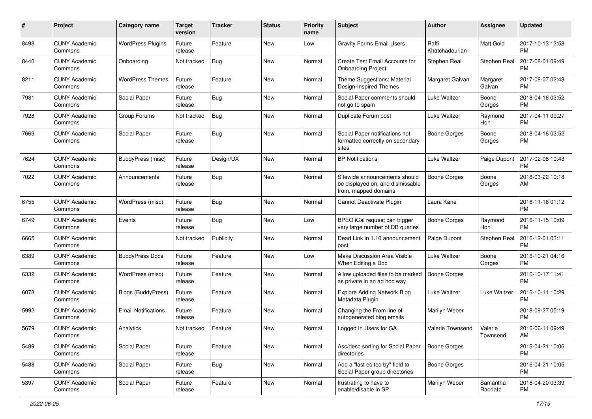| #    | Project                         | <b>Category name</b>       | <b>Target</b><br>version | <b>Tracker</b> | <b>Status</b> | <b>Priority</b><br>name | Subject                                                                                   | Author                  | <b>Assignee</b>     | <b>Updated</b>                |
|------|---------------------------------|----------------------------|--------------------------|----------------|---------------|-------------------------|-------------------------------------------------------------------------------------------|-------------------------|---------------------|-------------------------------|
| 8498 | <b>CUNY Academic</b><br>Commons | <b>WordPress Plugins</b>   | Future<br>release        | Feature        | New           | Low                     | <b>Gravity Forms Email Users</b>                                                          | Raffi<br>Khatchadourian | Matt Gold           | 2017-10-13 12:58<br>PM        |
| 8440 | <b>CUNY Academic</b><br>Commons | Onboarding                 | Not tracked              | <b>Bug</b>     | New           | Normal                  | Create Test Email Accounts for<br><b>Onboarding Project</b>                               | Stephen Real            | Stephen Real        | 2017-08-01 09:49<br><b>PM</b> |
| 8211 | <b>CUNY Academic</b><br>Commons | <b>WordPress Themes</b>    | Future<br>release        | Feature        | New           | Normal                  | Theme Suggestions: Material<br>Design-Inspired Themes                                     | Margaret Galvan         | Margaret<br>Galvan  | 2017-08-07 02:48<br><b>PM</b> |
| 7981 | <b>CUNY Academic</b><br>Commons | Social Paper               | Future<br>release        | Bug            | New           | Normal                  | Social Paper comments should<br>not go to spam                                            | Luke Waltzer            | Boone<br>Gorges     | 2018-04-16 03:52<br><b>PM</b> |
| 7928 | <b>CUNY Academic</b><br>Commons | Group Forums               | Not tracked              | <b>Bug</b>     | New           | Normal                  | Duplicate Forum post                                                                      | <b>Luke Waltzer</b>     | Raymond<br>Hoh      | 2017-04-11 09:27<br><b>PM</b> |
| 7663 | <b>CUNY Academic</b><br>Commons | Social Paper               | Future<br>release        | Bug            | New           | Normal                  | Social Paper notifications not<br>formatted correctly on secondary<br>sites               | <b>Boone Gorges</b>     | Boone<br>Gorges     | 2018-04-16 03:52<br>PM        |
| 7624 | <b>CUNY Academic</b><br>Commons | <b>BuddyPress</b> (misc)   | Future<br>release        | Design/UX      | <b>New</b>    | Normal                  | <b>BP</b> Notifications                                                                   | Luke Waltzer            | Paige Dupont        | 2017-02-08 10:43<br><b>PM</b> |
| 7022 | <b>CUNY Academic</b><br>Commons | Announcements              | Future<br>release        | Bug            | New           | Normal                  | Sitewide announcements should<br>be displayed on, and dismissable<br>from, mapped domains | <b>Boone Gorges</b>     | Boone<br>Gorges     | 2018-03-22 10:18<br>AM        |
| 6755 | <b>CUNY Academic</b><br>Commons | WordPress (misc)           | Future<br>release        | <b>Bug</b>     | <b>New</b>    | Normal                  | Cannot Deactivate Plugin                                                                  | Laura Kane              |                     | 2016-11-16 01:12<br><b>PM</b> |
| 6749 | <b>CUNY Academic</b><br>Commons | Events                     | Future<br>release        | Bug            | <b>New</b>    | Low                     | BPEO iCal request can trigger<br>very large number of DB queries                          | <b>Boone Gorges</b>     | Raymond<br>Hoh      | 2016-11-15 10:09<br><b>PM</b> |
| 6665 | <b>CUNY Academic</b><br>Commons |                            | Not tracked              | Publicity      | New           | Normal                  | Dead Link in 1.10 announcement<br>post                                                    | Paige Dupont            | Stephen Real        | 2016-12-01 03:11<br><b>PM</b> |
| 6389 | <b>CUNY Academic</b><br>Commons | <b>BuddyPress Docs</b>     | Future<br>release        | Feature        | New           | Low                     | Make Discussion Area Visible<br>When Editing a Doc                                        | Luke Waltzer            | Boone<br>Gorges     | 2016-10-21 04:16<br>PM        |
| 6332 | <b>CUNY Academic</b><br>Commons | WordPress (misc)           | Future<br>release        | Feature        | New           | Normal                  | Allow uploaded files to be marked<br>as private in an ad hoc way                          | <b>Boone Gorges</b>     |                     | 2016-10-17 11:41<br><b>PM</b> |
| 6078 | <b>CUNY Academic</b><br>Commons | <b>Blogs (BuddyPress)</b>  | Future<br>release        | Feature        | New           | Normal                  | <b>Explore Adding Network Blog</b><br>Metadata Plugin                                     | Luke Waltzer            | Luke Waltzer        | 2016-10-11 10:29<br><b>PM</b> |
| 5992 | <b>CUNY Academic</b><br>Commons | <b>Email Notifications</b> | Future<br>release        | Feature        | New           | Normal                  | Changing the From line of<br>autogenerated blog emails                                    | Marilyn Weber           |                     | 2018-09-27 05:19<br><b>PM</b> |
| 5679 | <b>CUNY Academic</b><br>Commons | Analytics                  | Not tracked              | Feature        | New           | Normal                  | Logged In Users for GA                                                                    | Valerie Townsend        | Valerie<br>Townsend | 2016-06-11 09:49<br>AM        |
| 5489 | <b>CUNY Academic</b><br>Commons | Social Paper               | Future<br>release        | Feature        | New           | Normal                  | Asc/desc sorting for Social Paper<br>directories                                          | <b>Boone Gorges</b>     |                     | 2016-04-21 10:06<br><b>PM</b> |
| 5488 | <b>CUNY Academic</b><br>Commons | Social Paper               | Future<br>release        | <b>Bug</b>     | New           | Normal                  | Add a "last edited by" field to<br>Social Paper group directories                         | <b>Boone Gorges</b>     |                     | 2016-04-21 10:05<br><b>PM</b> |
| 5397 | <b>CUNY Academic</b><br>Commons | Social Paper               | Future<br>release        | Feature        | New           | Normal                  | frustrating to have to<br>enable/disable in SP                                            | Marilyn Weber           | Samantha<br>Raddatz | 2016-04-20 03:39<br><b>PM</b> |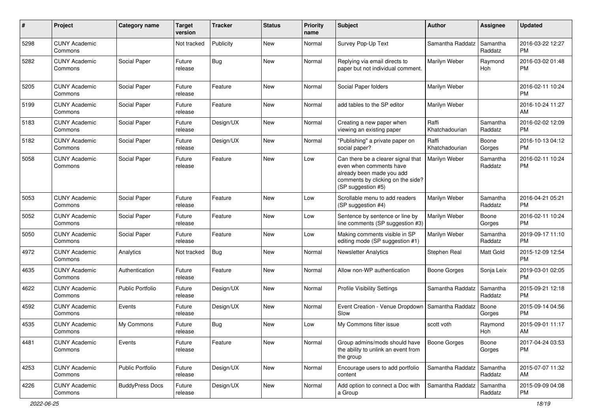| #    | Project                         | <b>Category name</b>    | <b>Target</b><br>version | <b>Tracker</b> | <b>Status</b> | <b>Priority</b><br>name | <b>Subject</b>                                                                                                                                        | <b>Author</b>           | <b>Assignee</b>     | <b>Updated</b>                |
|------|---------------------------------|-------------------------|--------------------------|----------------|---------------|-------------------------|-------------------------------------------------------------------------------------------------------------------------------------------------------|-------------------------|---------------------|-------------------------------|
| 5298 | <b>CUNY Academic</b><br>Commons |                         | Not tracked              | Publicity      | <b>New</b>    | Normal                  | Survey Pop-Up Text                                                                                                                                    | Samantha Raddatz        | Samantha<br>Raddatz | 2016-03-22 12:27<br><b>PM</b> |
| 5282 | <b>CUNY Academic</b><br>Commons | Social Paper            | Future<br>release        | <b>Bug</b>     | <b>New</b>    | Normal                  | Replying via email directs to<br>paper but not individual comment.                                                                                    | Marilyn Weber           | Raymond<br>Hoh      | 2016-03-02 01:48<br><b>PM</b> |
| 5205 | <b>CUNY Academic</b><br>Commons | Social Paper            | Future<br>release        | Feature        | <b>New</b>    | Normal                  | Social Paper folders                                                                                                                                  | Marilyn Weber           |                     | 2016-02-11 10:24<br><b>PM</b> |
| 5199 | <b>CUNY Academic</b><br>Commons | Social Paper            | Future<br>release        | Feature        | <b>New</b>    | Normal                  | add tables to the SP editor                                                                                                                           | Marilyn Weber           |                     | 2016-10-24 11:27<br>AM        |
| 5183 | <b>CUNY Academic</b><br>Commons | Social Paper            | Future<br>release        | Design/UX      | <b>New</b>    | Normal                  | Creating a new paper when<br>viewing an existing paper                                                                                                | Raffi<br>Khatchadourian | Samantha<br>Raddatz | 2016-02-02 12:09<br><b>PM</b> |
| 5182 | <b>CUNY Academic</b><br>Commons | Social Paper            | Future<br>release        | Design/UX      | <b>New</b>    | Normal                  | "Publishing" a private paper on<br>social paper?                                                                                                      | Raffi<br>Khatchadourian | Boone<br>Gorges     | 2016-10-13 04:12<br><b>PM</b> |
| 5058 | <b>CUNY Academic</b><br>Commons | Social Paper            | Future<br>release        | Feature        | New           | Low                     | Can there be a clearer signal that<br>even when comments have<br>already been made you add<br>comments by clicking on the side?<br>(SP suggestion #5) | Marilyn Weber           | Samantha<br>Raddatz | 2016-02-11 10:24<br><b>PM</b> |
| 5053 | <b>CUNY Academic</b><br>Commons | Social Paper            | Future<br>release        | Feature        | <b>New</b>    | Low                     | Scrollable menu to add readers<br>(SP suggestion #4)                                                                                                  | Marilyn Weber           | Samantha<br>Raddatz | 2016-04-21 05:21<br><b>PM</b> |
| 5052 | <b>CUNY Academic</b><br>Commons | Social Paper            | Future<br>release        | Feature        | <b>New</b>    | Low                     | Sentence by sentence or line by<br>line comments (SP suggestion #3)                                                                                   | Marilyn Weber           | Boone<br>Gorges     | 2016-02-11 10:24<br><b>PM</b> |
| 5050 | <b>CUNY Academic</b><br>Commons | Social Paper            | Future<br>release        | Feature        | New           | Low                     | Making comments visible in SP<br>editing mode (SP suggestion #1)                                                                                      | Marilyn Weber           | Samantha<br>Raddatz | 2019-09-17 11:10<br><b>PM</b> |
| 4972 | <b>CUNY Academic</b><br>Commons | Analytics               | Not tracked              | Bug            | <b>New</b>    | Normal                  | <b>Newsletter Analytics</b>                                                                                                                           | Stephen Real            | Matt Gold           | 2015-12-09 12:54<br><b>PM</b> |
| 4635 | <b>CUNY Academic</b><br>Commons | Authentication          | Future<br>release        | Feature        | New           | Normal                  | Allow non-WP authentication                                                                                                                           | <b>Boone Gorges</b>     | Sonja Leix          | 2019-03-01 02:05<br><b>PM</b> |
| 4622 | <b>CUNY Academic</b><br>Commons | <b>Public Portfolio</b> | Future<br>release        | Design/UX      | <b>New</b>    | Normal                  | <b>Profile Visibility Settings</b>                                                                                                                    | Samantha Raddatz        | Samantha<br>Raddatz | 2015-09-21 12:18<br><b>PM</b> |
| 4592 | <b>CUNY Academic</b><br>Commons | Events                  | Future<br>release        | Design/UX      | <b>New</b>    | Normal                  | Event Creation - Venue Dropdown<br>Slow                                                                                                               | Samantha Raddatz        | Boone<br>Gorges     | 2015-09-14 04:56<br><b>PM</b> |
| 4535 | <b>CUNY Academic</b><br>Commons | My Commons              | Future<br>release        | <b>Bug</b>     | <b>New</b>    | Low                     | My Commons filter issue                                                                                                                               | scott voth              | Raymond<br>Hoh      | 2015-09-01 11:17<br>AM        |
| 4481 | <b>CUNY Academic</b><br>Commons | Events                  | Future<br>release        | Feature        | New           | Normal                  | Group admins/mods should have<br>the ability to unlink an event from<br>the group                                                                     | <b>Boone Gorges</b>     | Boone<br>Gorges     | 2017-04-24 03:53<br><b>PM</b> |
| 4253 | <b>CUNY Academic</b><br>Commons | <b>Public Portfolio</b> | Future<br>release        | Design/UX      | New           | Normal                  | Encourage users to add portfolio<br>content                                                                                                           | Samantha Raddatz        | Samantha<br>Raddatz | 2015-07-07 11:32<br>AM        |
| 4226 | <b>CUNY Academic</b><br>Commons | <b>BuddyPress Docs</b>  | Future<br>release        | Design/UX      | New           | Normal                  | Add option to connect a Doc with<br>a Group                                                                                                           | Samantha Raddatz        | Samantha<br>Raddatz | 2015-09-09 04:08<br>PM        |